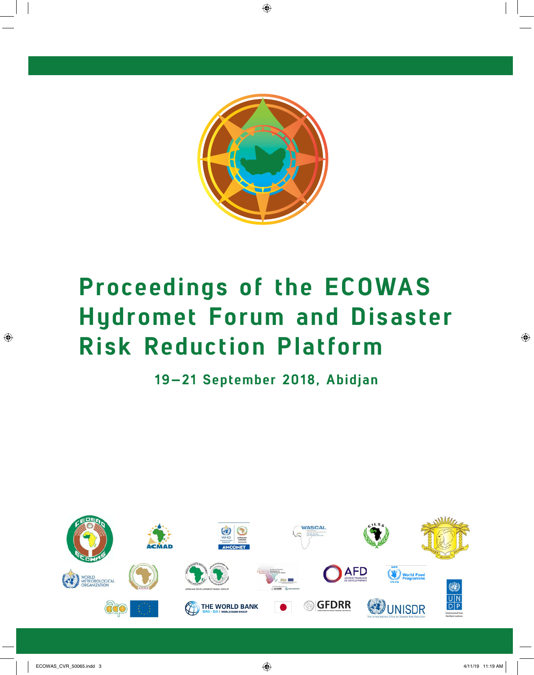

# **Proceedings of the ECOWAS Hydromet Forum and Disaster Risk Reduction Platform**

**19–21 September 2018, Abidjan**

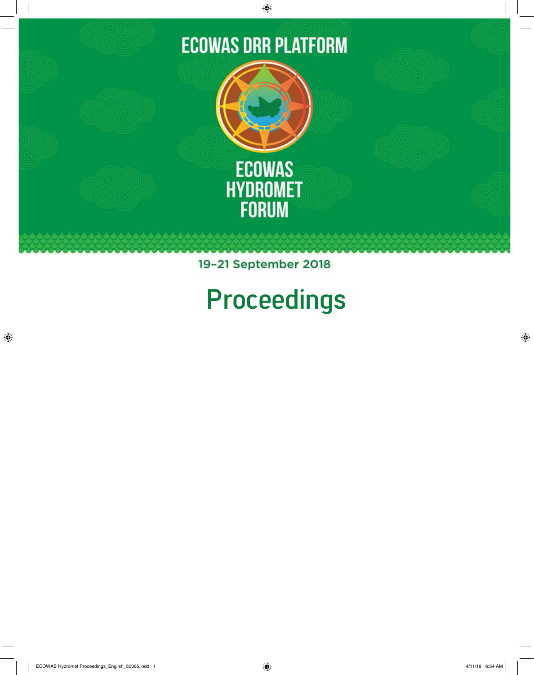

19-21 September 2018

# **Proceedings**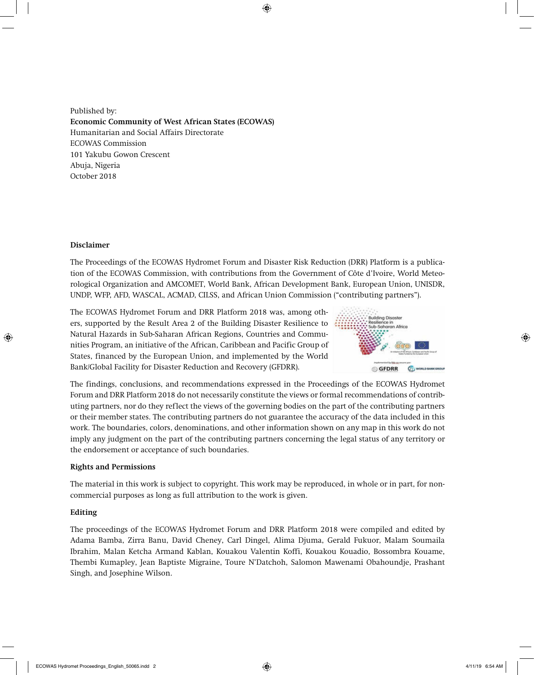Published by: **Economic Community of West African States (ECOWAS)**  Humanitarian and Social Affairs Directorate ECOWAS Commission 101 Yakubu Gowon Crescent Abuja, Nigeria October 2018

#### **Disclaimer**

The Proceedings of the ECOWAS Hydromet Forum and Disaster Risk Reduction (DRR) Platform is a publication of the ECOWAS Commission, with contributions from the Government of Côte d'Ivoire, World Meteorological Organization and AMCOMET, World Bank, African Development Bank, European Union, UNISDR, UNDP, WFP, AFD, WASCAL, ACMAD, CILSS, and African Union Commission ("contributing partners").

The ECOWAS Hydromet Forum and DRR Platform 2018 was, among others, supported by the Result Area 2 of the Building Disaster Resilience to Natural Hazards in Sub-Saharan African Regions, Countries and Communities Program, an initiative of the African, Caribbean and Pacific Group of States, financed by the European Union, and implemented by the World Bank/Global Facility for Disaster Reduction and Recovery (GFDRR).



The findings, conclusions, and recommendations expressed in the Proceedings of the ECOWAS Hydromet Forum and DRR Platform 2018 do not necessarily constitute the views or formal recommendations of contributing partners, nor do they reflect the views of the governing bodies on the part of the contributing partners or their member states. The contributing partners do not guarantee the accuracy of the data included in this work. The boundaries, colors, denominations, and other information shown on any map in this work do not imply any judgment on the part of the contributing partners concerning the legal status of any territory or the endorsement or acceptance of such boundaries.

#### **Rights and Permissions**

The material in this work is subject to copyright. This work may be reproduced, in whole or in part, for noncommercial purposes as long as full attribution to the work is given.

#### **Editing**

The proceedings of the ECOWAS Hydromet Forum and DRR Platform 2018 were compiled and edited by Adama Bamba, Zirra Banu, David Cheney, Carl Dingel, Alima Djuma, Gerald Fukuor, Malam Soumaila Ibrahim, Malan Ketcha Armand Kablan, Kouakou Valentin Koffi, Kouakou Kouadio, Bossombra Kouame, Thembi Kumapley, Jean Baptiste Migraine, Toure N'Datchoh, Salomon Mawenami Obahoundje, Prashant Singh, and Josephine Wilson.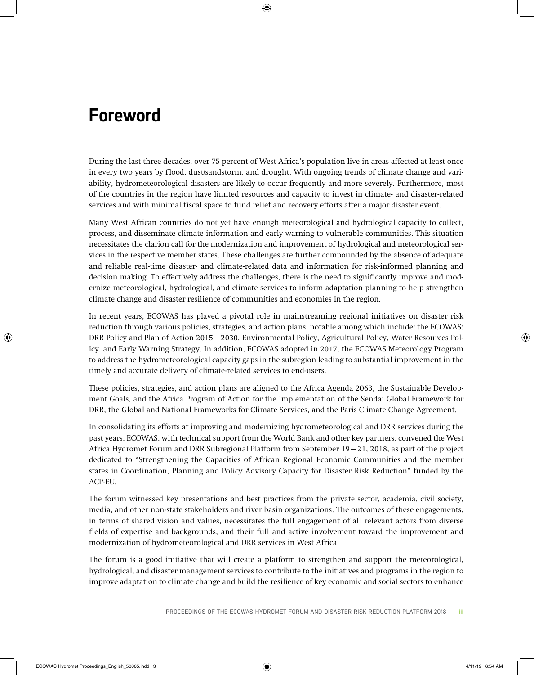# <span id="page-3-0"></span>**Foreword**

During the last three decades, over 75 percent of West Africa's population live in areas affected at least once in every two years by flood, dust/sandstorm, and drought. With ongoing trends of climate change and variability, hydrometeorological disasters are likely to occur frequently and more severely. Furthermore, most of the countries in the region have limited resources and capacity to invest in climate- and disaster-related services and with minimal fiscal space to fund relief and recovery efforts after a major disaster event.

Many West African countries do not yet have enough meteorological and hydrological capacity to collect, process, and disseminate climate information and early warning to vulnerable communities. This situation necessitates the clarion call for the modernization and improvement of hydrological and meteorological services in the respective member states. These challenges are further compounded by the absence of adequate and reliable real-time disaster- and climate-related data and information for risk-informed planning and decision making. To effectively address the challenges, there is the need to significantly improve and modernize meteorological, hydrological, and climate services to inform adaptation planning to help strengthen climate change and disaster resilience of communities and economies in the region.

In recent years, ECOWAS has played a pivotal role in mainstreaming regional initiatives on disaster risk reduction through various policies, strategies, and action plans, notable among which include: the ECOWAS: DRR Policy and Plan of Action 2015–2030, Environmental Policy, Agricultural Policy, Water Resources Policy, and Early Warning Strategy. In addition, ECOWAS adopted in 2017, the ECOWAS Meteorology Program to address the hydrometeorological capacity gaps in the subregion leading to substantial improvement in the timely and accurate delivery of climate-related services to end-users.

These policies, strategies, and action plans are aligned to the Africa Agenda 2063, the Sustainable Development Goals, and the Africa Program of Action for the Implementation of the Sendai Global Framework for DRR, the Global and National Frameworks for Climate Services, and the Paris Climate Change Agreement.

In consolidating its efforts at improving and modernizing hydrometeorological and DRR services during the past years, ECOWAS, with technical support from the World Bank and other key partners, convened the West Africa Hydromet Forum and DRR Subregional Platform from September 19–21, 2018, as part of the project dedicated to "Strengthening the Capacities of African Regional Economic Communities and the member states in Coordination, Planning and Policy Advisory Capacity for Disaster Risk Reduction" funded by the ACP-EU.

The forum witnessed key presentations and best practices from the private sector, academia, civil society, media, and other non-state stakeholders and river basin organizations. The outcomes of these engagements, in terms of shared vision and values, necessitates the full engagement of all relevant actors from diverse fields of expertise and backgrounds, and their full and active involvement toward the improvement and modernization of hydrometeorological and DRR services in West Africa.

The forum is a good initiative that will create a platform to strengthen and support the meteorological, hydrological, and disaster management services to contribute to the initiatives and programs in the region to improve adaptation to climate change and build the resilience of key economic and social sectors to enhance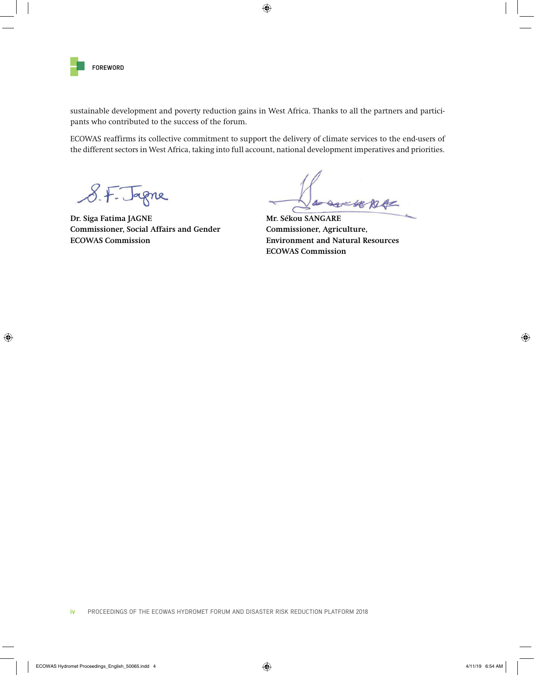

sustainable development and poverty reduction gains in West Africa. Thanks to all the partners and participants who contributed to the success of the forum.

ECOWAS reaffirms its collective commitment to support the delivery of climate services to the end-users of the different sectors in West Africa, taking into full account, national development imperatives and priorities.

S.F. Jagne

**Dr. Siga Fatima JAGNE Mr. Sékou SANGARE Commissioner, Social Affairs and Gender Commissioner, Agriculture, ECOWAS Commission Environment and Natural Resources** 

so socke ket

**ECOWAS Commission**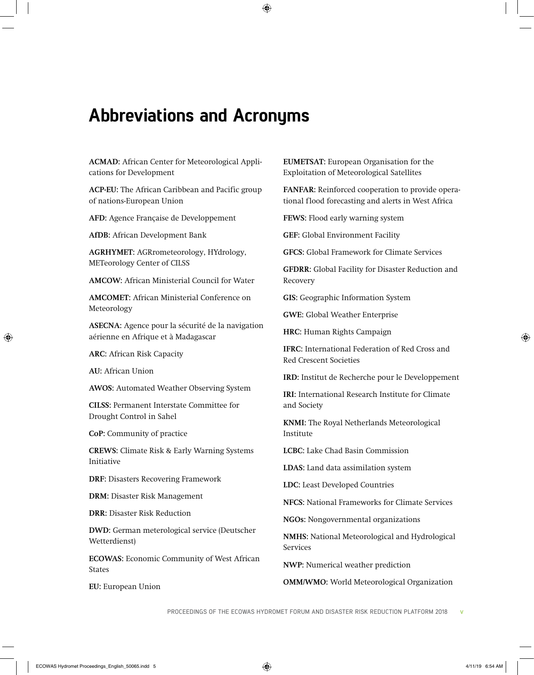# <span id="page-5-0"></span>**Abbreviations and Acronyms**

**ACMAD:** African Center for Meteorological Applications for Development

**ACP-EU:** The African Caribbean and Pacific group of nations-European Union

**AFD:** Agence Française de Developpement

**AfDB:** African Development Bank

**AGRHYMET:** AGRrometeorology, HYdrology, METeorology Center of CILSS

**AMCOW:** African Ministerial Council for Water

**AMCOMET:** African Ministerial Conference on Meteorology

**ASECNA:** Agence pour la sécurité de la navigation aérienne en Afrique et à Madagascar

**ARC:** African Risk Capacity

**AU:** African Union

**AWOS:** Automated Weather Observing System

**CILSS:** Permanent Interstate Committee for Drought Control in Sahel

**CoP:** Community of practice

**CREWS:** Climate Risk & Early Warning Systems Initiative

**DRF:** Disasters Recovering Framework

**DRM:** Disaster Risk Management

**DRR:** Disaster Risk Reduction

**DWD:** German meterological service (Deutscher Wetterdienst)

**ECOWAS:** Economic Community of West African States

**EU:** European Union

**EUMETSAT:** European Organisation for the Exploitation of Meteorological Satellites

**FANFAR:** Reinforced cooperation to provide operational flood forecasting and alerts in West Africa

**FEWS:** Flood early warning system

**GEF:** Global Environment Facility

**GFCS:** Global Framework for Climate Services

**GFDRR:** Global Facility for Disaster Reduction and Recovery

**GIS:** Geographic Information System

**GWE:** Global Weather Enterprise

**HRC:** Human Rights Campaign

**IFRC:** International Federation of Red Cross and Red Crescent Societies

**IRD:** Institut de Recherche pour le Developpement

**IRI:** International Research Institute for Climate and Society

**KNMI:** The Royal Netherlands Meteorological Institute

**LCBC:** Lake Chad Basin Commission

**LDAS:** Land data assimilation system

**LDC:** Least Developed Countries

**NFCS:** National Frameworks for Climate Services

**NGOs:** Nongovernmental organizations

**NMHS:** National Meteorological and Hydrological Services

**NWP:** Numerical weather prediction

**OMM/WMO:** World Meteorological Organization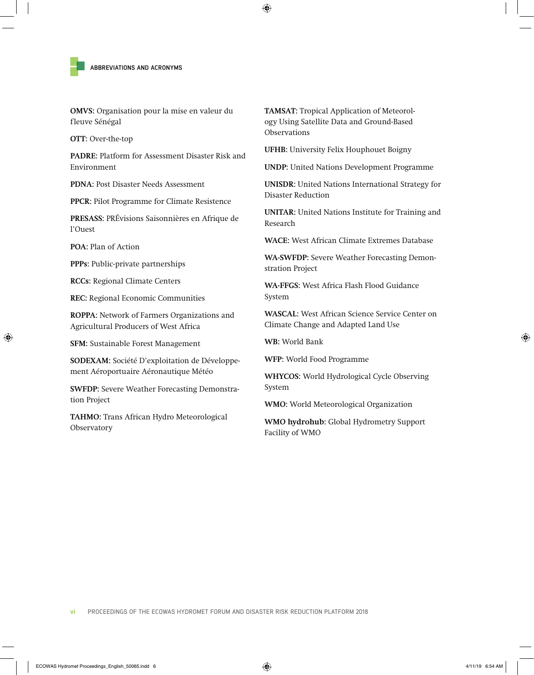

**OMVS:** Organisation pour la mise en valeur du fleuve Sénégal

**OTT:** Over-the-top

**PADRE:** Platform for Assessment Disaster Risk and Environment

**PDNA:** Post Disaster Needs Assessment

**PPCR:** Pilot Programme for Climate Resistence

**PRESASS:** PRÉvisions Saisonnières en Afrique de l'Ouest

**POA:** Plan of Action

**PPPs:** Public-private partnerships

**RCCs:** Regional Climate Centers

**REC:** Regional Economic Communities

**ROPPA:** Network of Farmers Organizations and Agricultural Producers of West Africa

**SFM:** Sustainable Forest Management

**SODEXAM:** Société D'exploitation de Développement Aéroportuaire Aéronautique Météo

**SWFDP:** Severe Weather Forecasting Demonstration Project

**TAHMO:** Trans African Hydro Meteorological Observatory

**TAMSAT:** Tropical Application of Meteorology Using Satellite Data and Ground-Based Observations

**UFHB:** University Felix Houphouet Boigny

**UNDP:** United Nations Development Programme

**UNISDR:** United Nations International Strategy for Disaster Reduction

**UNITAR:** United Nations Institute for Training and Research

**WACE:** West African Climate Extremes Database

**WA-SWFDP:** Severe Weather Forecasting Demonstration Project

**WA-FFGS:** West Africa Flash Flood Guidance System

**WASCAL:** West African Science Service Center on Climate Change and Adapted Land Use

**WB:** World Bank

**WFP:** World Food Programme

**WHYCOS:** World Hydrological Cycle Observing System

**WMO:** World Meteorological Organization

**WMO hydrohub:** Global Hydrometry Support Facility of WMO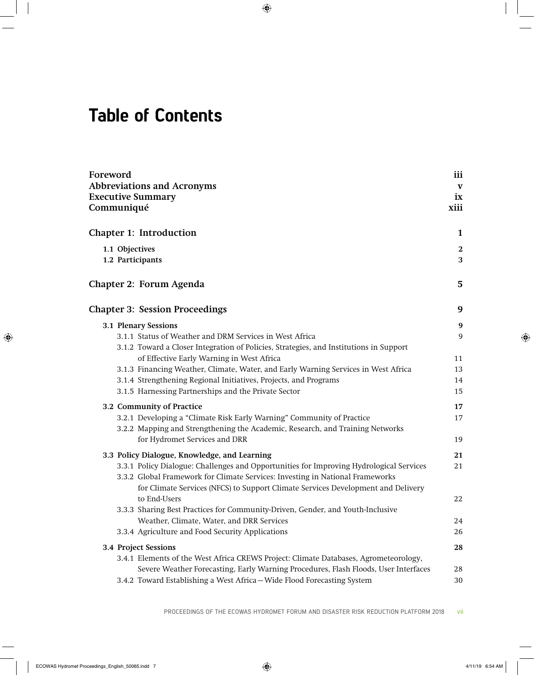# **Table of Contents**

| Foreword<br><b>Abbreviations and Acronyms</b><br><b>Executive Summary</b><br>Communiqué                                                                                                                                                              |                              |  |
|------------------------------------------------------------------------------------------------------------------------------------------------------------------------------------------------------------------------------------------------------|------------------------------|--|
| <b>Chapter 1: Introduction</b>                                                                                                                                                                                                                       | $\mathbf{1}$                 |  |
| 1.1 Objectives<br>1.2 Participants                                                                                                                                                                                                                   | $\overline{\mathbf{c}}$<br>3 |  |
| Chapter 2: Forum Agenda                                                                                                                                                                                                                              | 5                            |  |
| <b>Chapter 3: Session Proceedings</b>                                                                                                                                                                                                                | 9                            |  |
| 3.1 Plenary Sessions<br>3.1.1 Status of Weather and DRM Services in West Africa<br>3.1.2 Toward a Closer Integration of Policies, Strategies, and Institutions in Support                                                                            | 9<br>9                       |  |
| of Effective Early Warning in West Africa                                                                                                                                                                                                            | 11                           |  |
| 3.1.3 Financing Weather, Climate, Water, and Early Warning Services in West Africa                                                                                                                                                                   | 13                           |  |
| 3.1.4 Strengthening Regional Initiatives, Projects, and Programs<br>3.1.5 Harnessing Partnerships and the Private Sector                                                                                                                             | 14<br>15                     |  |
| 3.2 Community of Practice                                                                                                                                                                                                                            | 17                           |  |
| 3.2.1 Developing a "Climate Risk Early Warning" Community of Practice<br>3.2.2 Mapping and Strengthening the Academic, Research, and Training Networks                                                                                               | 17                           |  |
| for Hydromet Services and DRR                                                                                                                                                                                                                        | 19                           |  |
| 3.3 Policy Dialogue, Knowledge, and Learning                                                                                                                                                                                                         | 21                           |  |
| 3.3.1 Policy Dialogue: Challenges and Opportunities for Improving Hydrological Services<br>3.3.2 Global Framework for Climate Services: Investing in National Frameworks                                                                             | 21                           |  |
| for Climate Services (NFCS) to Support Climate Services Development and Delivery<br>to End-Users                                                                                                                                                     | 22                           |  |
| 3.3.3 Sharing Best Practices for Community-Driven, Gender, and Youth-Inclusive                                                                                                                                                                       |                              |  |
| Weather, Climate, Water, and DRR Services                                                                                                                                                                                                            | 24                           |  |
| 3.3.4 Agriculture and Food Security Applications                                                                                                                                                                                                     | 26                           |  |
| 3.4 Project Sessions                                                                                                                                                                                                                                 | 28                           |  |
| 3.4.1 Elements of the West Africa CREWS Project: Climate Databases, Agrometeorology,<br>Severe Weather Forecasting, Early Warning Procedures, Flash Floods, User Interfaces<br>3.4.2 Toward Establishing a West Africa-Wide Flood Forecasting System | 28<br>30                     |  |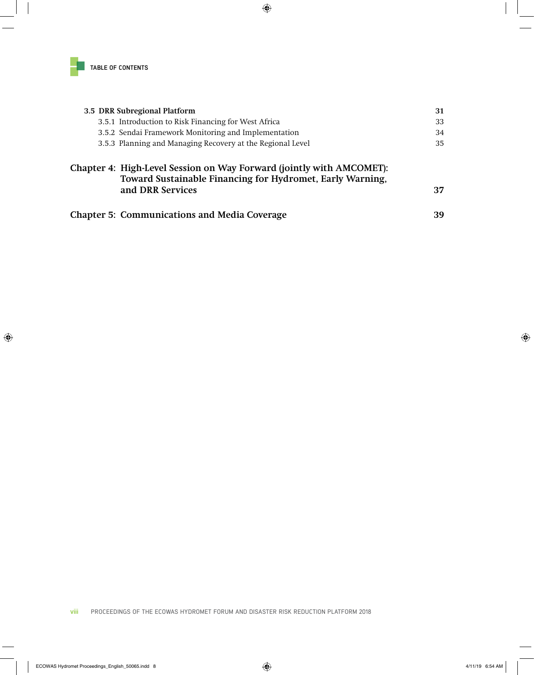

| 3.5 DRR Subregional Platform                                                                                                                          | 31 |
|-------------------------------------------------------------------------------------------------------------------------------------------------------|----|
| 3.5.1 Introduction to Risk Financing for West Africa                                                                                                  | 33 |
| 3.5.2 Sendai Framework Monitoring and Implementation                                                                                                  | 34 |
| 3.5.3 Planning and Managing Recovery at the Regional Level                                                                                            | 35 |
| Chapter 4: High-Level Session on Way Forward (jointly with AMCOMET):<br>Toward Sustainable Financing for Hydromet, Early Warning,<br>and DRR Services | 37 |
| <b>Chapter 5: Communications and Media Coverage</b>                                                                                                   | 39 |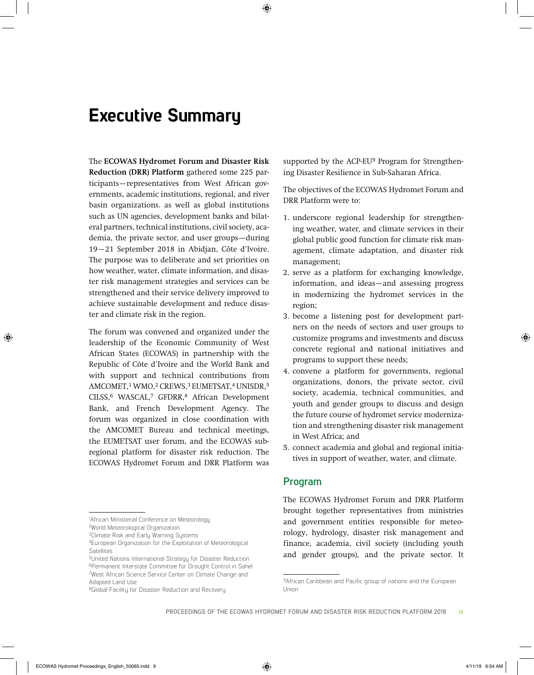# <span id="page-9-0"></span>**Executive Summary**

The **ECOWAS Hydromet Forum and Disaster Risk Reduction (DRR) Platform** gathered some 225 participants—representatives from West African governments, academic institutions, regional, and river basin organizations. as well as global institutions such as UN agencies, development banks and bilateral partners, technical institutions, civil society, academia, the private sector, and user groups—during 19–21 September 2018 in Abidjan, Côte d'Ivoire. The purpose was to deliberate and set priorities on how weather, water, climate information, and disaster risk management strategies and services can be strengthened and their service delivery improved to achieve sustainable development and reduce disaster and climate risk in the region.

The forum was convened and organized under the leadership of the Economic Community of West African States (ECOWAS) in partnership with the Republic of Côte d'Ivoire and the World Bank and with support and technical contributions from AMCOMET,<sup>1</sup> WMO,<sup>2</sup> CREWS,<sup>3</sup> EUMETSAT,<sup>4</sup> UNISDR,<sup>5</sup> CILSS,6 WASCAL,7 GFDRR,8 African Development Bank, and French Development Agency. The forum was organized in close coordination with the AMCOMET Bureau and technical meetings, the EUMETSAT user forum, and the ECOWAS subregional platform for disaster risk reduction. The ECOWAS Hydromet Forum and DRR Platform was

1 African Ministerial Conference on Meteorology

2World Meteorological Organization

8Global Facility for Disaster Reduction and Recovery

supported by the ACP-EU<sup>9</sup> Program for Strengthening Disaster Resilience in Sub-Saharan Africa.

The objectives of the ECOWAS Hydromet Forum and DRR Platform were to:

- 1. underscore regional leadership for strengthening weather, water, and climate services in their global public good function for climate risk management, climate adaptation, and disaster risk management;
- 2. serve as a platform for exchanging knowledge, information, and ideas—and assessing progress in modernizing the hydromet services in the region;
- 3. become a listening post for development partners on the needs of sectors and user groups to customize programs and investments and discuss concrete regional and national initiatives and programs to support these needs;
- 4. convene a platform for governments, regional organizations, donors, the private sector, civil society, academia, technical communities, and youth and gender groups to discuss and design the future course of hydromet service modernization and strengthening disaster risk management in West Africa; and
- 5. connect academia and global and regional initiatives in support of weather, water, and climate.

#### **Program**

The ECOWAS Hydromet Forum and DRR Platform brought together representatives from ministries and government entities responsible for meteorology, hydrology, disaster risk management and finance, academia, civil society (including youth and gender groups), and the private sector. It

<sup>&</sup>lt;sup>3</sup>Climate Risk and Early Warning Systems

<sup>4</sup>European Organization for the Exploitation of Meteorological **Satellites** 

<sup>5</sup>United Nations International Strategy for Disaster Reduction 6Permanent Interstate Committee for Drought Control in Sahel 7West African Science Service Center on Climate Change and Adapted Land Use

<sup>9</sup>African Caribbean and Pacific group of nations and the European Union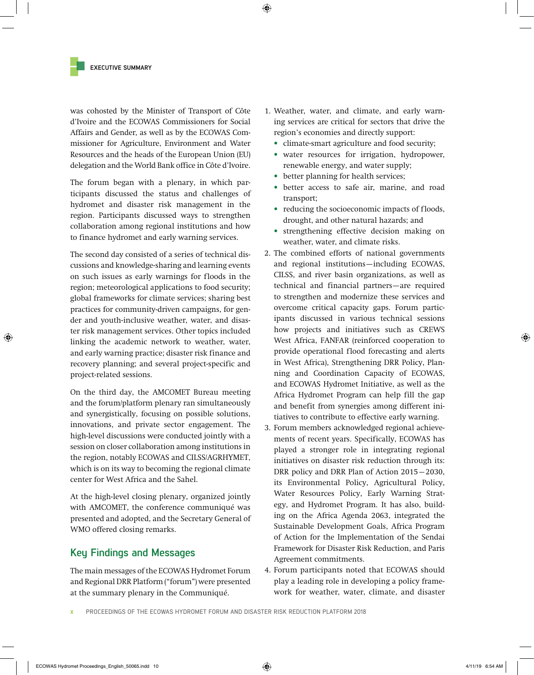was cohosted by the Minister of Transport of Côte d'Ivoire and the ECOWAS Commissioners for Social Affairs and Gender, as well as by the ECOWAS Commissioner for Agriculture, Environment and Water Resources and the heads of the European Union (EU) delegation and the World Bank office in Côte d'Ivoire.

The forum began with a plenary, in which participants discussed the status and challenges of hydromet and disaster risk management in the region. Participants discussed ways to strengthen collaboration among regional institutions and how to finance hydromet and early warning services.

The second day consisted of a series of technical discussions and knowledge-sharing and learning events on such issues as early warnings for floods in the region; meteorological applications to food security; global frameworks for climate services; sharing best practices for community-driven campaigns, for gender and youth-inclusive weather, water, and disaster risk management services. Other topics included linking the academic network to weather, water, and early warning practice; disaster risk finance and recovery planning; and several project-specific and project-related sessions.

On the third day, the AMCOMET Bureau meeting and the forum/platform plenary ran simultaneously and synergistically, focusing on possible solutions, innovations, and private sector engagement. The high-level discussions were conducted jointly with a session on closer collaboration among institutions in the region, notably ECOWAS and CILSS/AGRHYMET, which is on its way to becoming the regional climate center for West Africa and the Sahel.

At the high-level closing plenary, organized jointly with AMCOMET, the conference communiqué was presented and adopted, and the Secretary General of WMO offered closing remarks.

# **Key Findings and Messages**

The main messages of the ECOWAS Hydromet Forum and Regional DRR Platform ("forum") were presented at the summary plenary in the Communiqué.

- 1. Weather, water, and climate, and early warning services are critical for sectors that drive the region's economies and directly support:
	- climate-smart agriculture and food security;
	- water resources for irrigation, hydropower, renewable energy, and water supply;
	- better planning for health services;
	- better access to safe air, marine, and road transport;
	- reducing the socioeconomic impacts of floods, drought, and other natural hazards; and
	- strengthening effective decision making on weather, water, and climate risks.
- 2. The combined efforts of national governments and regional institutions—including ECOWAS, CILSS, and river basin organizations, as well as technical and financial partners—are required to strengthen and modernize these services and overcome critical capacity gaps. Forum participants discussed in various technical sessions how projects and initiatives such as CREWS West Africa, FANFAR (reinforced cooperation to provide operational flood forecasting and alerts in West Africa), Strengthening DRR Policy, Planning and Coordination Capacity of ECOWAS, and ECOWAS Hydromet Initiative, as well as the Africa Hydromet Program can help fill the gap and benefit from synergies among different initiatives to contribute to effective early warning.
- 3. Forum members acknowledged regional achievements of recent years. Specifically, ECOWAS has played a stronger role in integrating regional initiatives on disaster risk reduction through its: DRR policy and DRR Plan of Action 2015–2030, its Environmental Policy, Agricultural Policy, Water Resources Policy, Early Warning Strategy, and Hydromet Program. It has also, building on the Africa Agenda 2063, integrated the Sustainable Development Goals, Africa Program of Action for the Implementation of the Sendai Framework for Disaster Risk Reduction, and Paris Agreement commitments.
- 4. Forum participants noted that ECOWAS should play a leading role in developing a policy framework for weather, water, climate, and disaster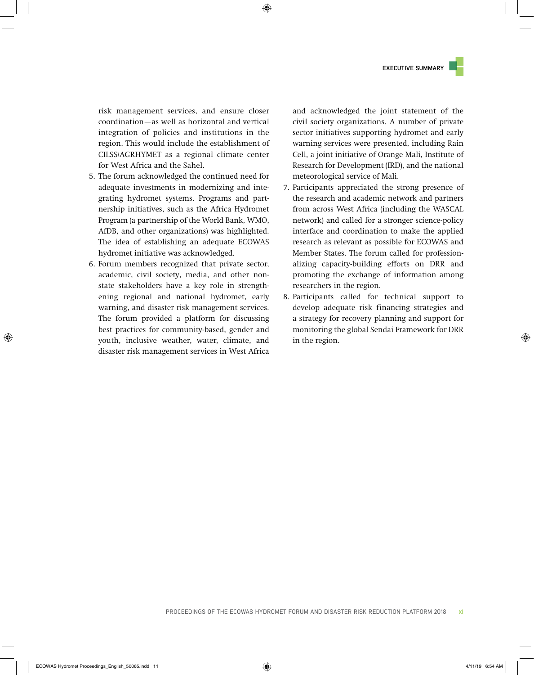risk management services, and ensure closer coordination—as well as horizontal and vertical integration of policies and institutions in the region. This would include the establishment of CILSS/AGRHYMET as a regional climate center for West Africa and the Sahel.

- 5. The forum acknowledged the continued need for adequate investments in modernizing and integrating hydromet systems. Programs and partnership initiatives, such as the Africa Hydromet Program (a partnership of the World Bank, WMO, AfDB, and other organizations) was highlighted. The idea of establishing an adequate ECOWAS hydromet initiative was acknowledged.
- 6. Forum members recognized that private sector, academic, civil society, media, and other nonstate stakeholders have a key role in strengthening regional and national hydromet, early warning, and disaster risk management services. The forum provided a platform for discussing best practices for community-based, gender and youth, inclusive weather, water, climate, and disaster risk management services in West Africa

and acknowledged the joint statement of the civil society organizations. A number of private sector initiatives supporting hydromet and early warning services were presented, including Rain Cell, a joint initiative of Orange Mali, Institute of Research for Development (IRD), and the national meteorological service of Mali.

- 7. Participants appreciated the strong presence of the research and academic network and partners from across West Africa (including the WASCAL network) and called for a stronger science-policy interface and coordination to make the applied research as relevant as possible for ECOWAS and Member States. The forum called for professionalizing capacity-building efforts on DRR and promoting the exchange of information among researchers in the region.
- 8. Participants called for technical support to develop adequate risk financing strategies and a strategy for recovery planning and support for monitoring the global Sendai Framework for DRR in the region.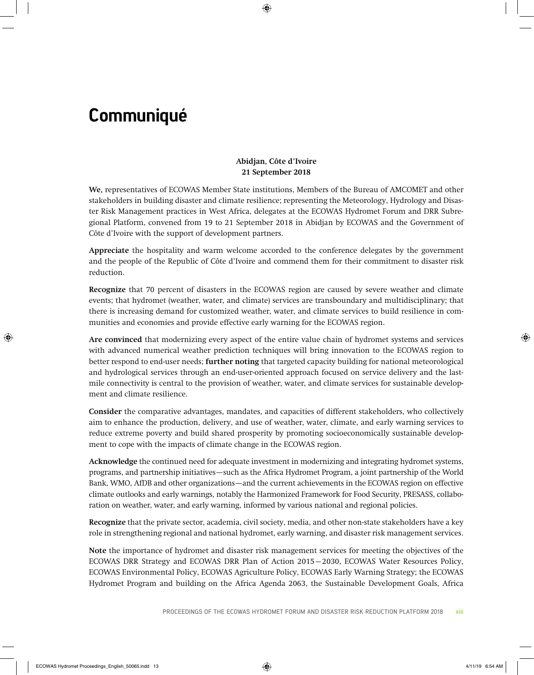# <span id="page-13-0"></span>**Communiqué**

# **Abidjan, Côte d'Ivoire 21 September 2018**

**We,** representatives of ECOWAS Member State institutions, Members of the Bureau of AMCOMET and other stakeholders in building disaster and climate resilience; representing the Meteorology, Hydrology and Disaster Risk Management practices in West Africa, delegates at the ECOWAS Hydromet Forum and DRR Subregional Platform, convened from 19 to 21 September 2018 in Abidjan by ECOWAS and the Government of Côte d'Ivoire with the support of development partners.

**Appreciate** the hospitality and warm welcome accorded to the conference delegates by the government and the people of the Republic of Côte d'Ivoire and commend them for their commitment to disaster risk reduction.

**Recognize** that 70 percent of disasters in the ECOWAS region are caused by severe weather and climate events; that hydromet (weather, water, and climate) services are transboundary and multidisciplinary; that there is increasing demand for customized weather, water, and climate services to build resilience in communities and economies and provide effective early warning for the ECOWAS region.

**Are convinced** that modernizing every aspect of the entire value chain of hydromet systems and services with advanced numerical weather prediction techniques will bring innovation to the ECOWAS region to better respond to end-user needs; **further noting** that targeted capacity building for national meteorological and hydrological services through an end-user-oriented approach focused on service delivery and the lastmile connectivity is central to the provision of weather, water, and climate services for sustainable development and climate resilience.

**Consider** the comparative advantages, mandates, and capacities of different stakeholders, who collectively aim to enhance the production, delivery, and use of weather, water, climate, and early warning services to reduce extreme poverty and build shared prosperity by promoting socioeconomically sustainable development to cope with the impacts of climate change in the ECOWAS region.

**Acknowledge** the continued need for adequate investment in modernizing and integrating hydromet systems, programs, and partnership initiatives—such as the Africa Hydromet Program, a joint partnership of the World Bank, WMO, AfDB and other organizations—and the current achievements in the ECOWAS region on effective climate outlooks and early warnings, notably the Harmonized Framework for Food Security, PRESASS, collaboration on weather, water, and early warning, informed by various national and regional policies.

**Recognize** that the private sector, academia, civil society, media, and other non-state stakeholders have a key role in strengthening regional and national hydromet, early warning, and disaster risk management services.

**Note** the importance of hydromet and disaster risk management services for meeting the objectives of the ECOWAS DRR Strategy and ECOWAS DRR Plan of Action 2015–2030, ECOWAS Water Resources Policy, ECOWAS Environmental Policy, ECOWAS Agriculture Policy, ECOWAS Early Warning Strategy; the ECOWAS Hydromet Program and building on the Africa Agenda 2063, the Sustainable Development Goals, Africa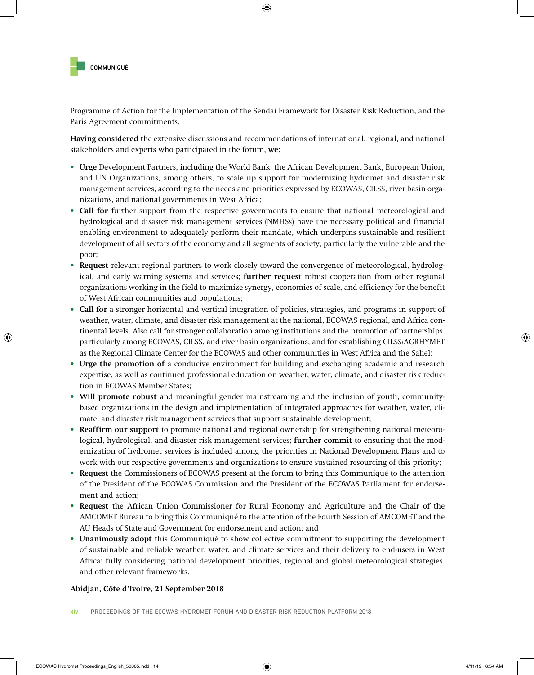

Programme of Action for the Implementation of the Sendai Framework for Disaster Risk Reduction, and the Paris Agreement commitments.

**Having considered** the extensive discussions and recommendations of international, regional, and national stakeholders and experts who participated in the forum, **we:** 

- **Urge** Development Partners, including the World Bank, the African Development Bank, European Union, and UN Organizations, among others, to scale up support for modernizing hydromet and disaster risk management services, according to the needs and priorities expressed by ECOWAS, CILSS, river basin organizations, and national governments in West Africa;
- **Call for** further support from the respective governments to ensure that national meteorological and hydrological and disaster risk management services (NMHSs) have the necessary political and financial enabling environment to adequately perform their mandate, which underpins sustainable and resilient development of all sectors of the economy and all segments of society, particularly the vulnerable and the poor;
- **Request** relevant regional partners to work closely toward the convergence of meteorological, hydrological, and early warning systems and services; **further request** robust cooperation from other regional organizations working in the field to maximize synergy, economies of scale, and efficiency for the benefit of West African communities and populations;
- **Call for** a stronger horizontal and vertical integration of policies, strategies, and programs in support of weather, water, climate, and disaster risk management at the national, ECOWAS regional, and Africa continental levels. Also call for stronger collaboration among institutions and the promotion of partnerships, particularly among ECOWAS, CILSS, and river basin organizations, and for establishing CILSS/AGRHYMET as the Regional Climate Center for the ECOWAS and other communities in West Africa and the Sahel;
- **Urge the promotion of** a conducive environment for building and exchanging academic and research expertise, as well as continued professional education on weather, water, climate, and disaster risk reduction in ECOWAS Member States;
- **Will promote robust** and meaningful gender mainstreaming and the inclusion of youth, communitybased organizations in the design and implementation of integrated approaches for weather, water, climate, and disaster risk management services that support sustainable development;
- **Reaffirm our support** to promote national and regional ownership for strengthening national meteorological, hydrological, and disaster risk management services; **further commit** to ensuring that the modernization of hydromet services is included among the priorities in National Development Plans and to work with our respective governments and organizations to ensure sustained resourcing of this priority;
- **Request** the Commissioners of ECOWAS present at the forum to bring this Communiqué to the attention of the President of the ECOWAS Commission and the President of the ECOWAS Parliament for endorsement and action;
- **Request** the African Union Commissioner for Rural Economy and Agriculture and the Chair of the AMCOMET Bureau to bring this Communiqué to the attention of the Fourth Session of AMCOMET and the AU Heads of State and Government for endorsement and action; and
- **Unanimously adopt** this Communiqué to show collective commitment to supporting the development of sustainable and reliable weather, water, and climate services and their delivery to end-users in West Africa; fully considering national development priorities, regional and global meteorological strategies, and other relevant frameworks.

#### **Abidjan, Côte d'Ivoire, 21 September 2018**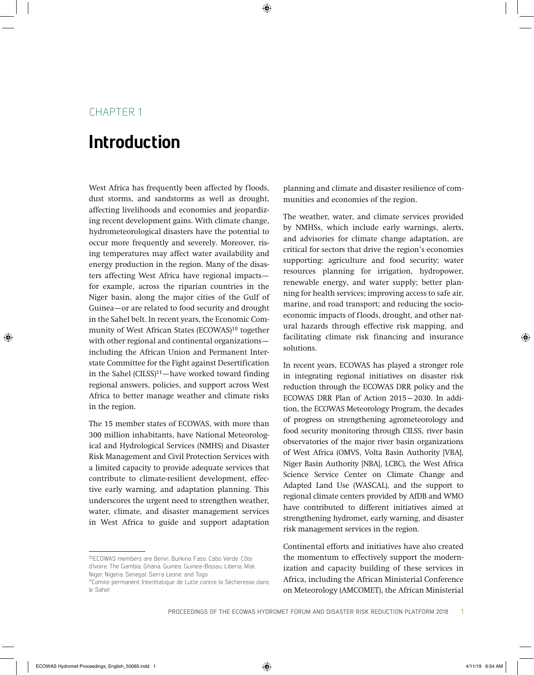# <span id="page-15-0"></span>CHAPTER 1

# **Introduction**

West Africa has frequently been affected by floods, dust storms, and sandstorms as well as drought, affecting livelihoods and economies and jeopardizing recent development gains. With climate change, hydrometeorological disasters have the potential to occur more frequently and severely. Moreover, rising temperatures may affect water availability and energy production in the region. Many of the disasters affecting West Africa have regional impacts for example, across the riparian countries in the Niger basin, along the major cities of the Gulf of Guinea—or are related to food security and drought in the Sahel belt. In recent years, the Economic Community of West African States (ECOWAS)10 together with other regional and continental organizations including the African Union and Permanent Interstate Committee for the Fight against Desertification in the Sahel  $(CILSS)^{11}$ —have worked toward finding regional answers, policies, and support across West Africa to better manage weather and climate risks in the region.

The 15 member states of ECOWAS, with more than 300 million inhabitants, have National Meteorological and Hydrological Services (NMHS) and Disaster Risk Management and Civil Protection Services with a limited capacity to provide adequate services that contribute to climate-resilient development, effective early warning, and adaptation planning. This underscores the urgent need to strengthen weather, water, climate, and disaster management services in West Africa to guide and support adaptation

10ECOWAS members are Benin, Burkina Faso, Cabo Verde, Côte d'Ivoire, The Gambia, Ghana, Guinea, Guinea-Bissau, Liberia, Mali, Niger, Nigeria, Senegal, Sierra Leone, and Togo

planning and climate and disaster resilience of communities and economies of the region.

The weather, water, and climate services provided by NMHSs, which include early warnings, alerts, and advisories for climate change adaptation, are critical for sectors that drive the region's economies supporting: agriculture and food security; water resources planning for irrigation, hydropower, renewable energy, and water supply; better planning for health services; improving access to safe air, marine, and road transport; and reducing the socioeconomic impacts of floods, drought, and other natural hazards through effective risk mapping, and facilitating climate risk financing and insurance solutions.

In recent years, ECOWAS has played a stronger role in integrating regional initiatives on disaster risk reduction through the ECOWAS DRR policy and the ECOWAS DRR Plan of Action 2015–2030. In addition, the ECOWAS Meteorology Program, the decades of progress on strengthening agrometeorology and food security monitoring through CILSS, river basin observatories of the major river basin organizations of West Africa (OMVS, Volta Basin Authority [VBA], Niger Basin Authority [NBA], LCBC), the West Africa Science Service Center on Climate Change and Adapted Land Use (WASCAL), and the support to regional climate centers provided by AfDB and WMO have contributed to different initiatives aimed at strengthening hydromet, early warning, and disaster risk management services in the region.

Continental efforts and initiatives have also created the momentum to effectively support the modernization and capacity building of these services in Africa, including the African Ministerial Conference on Meteorology (AMCOMET), the African Ministerial

<sup>&</sup>lt;sup>11</sup>Comite permanent Interétatique de Lutte contre la Sècheresse dans le Sahel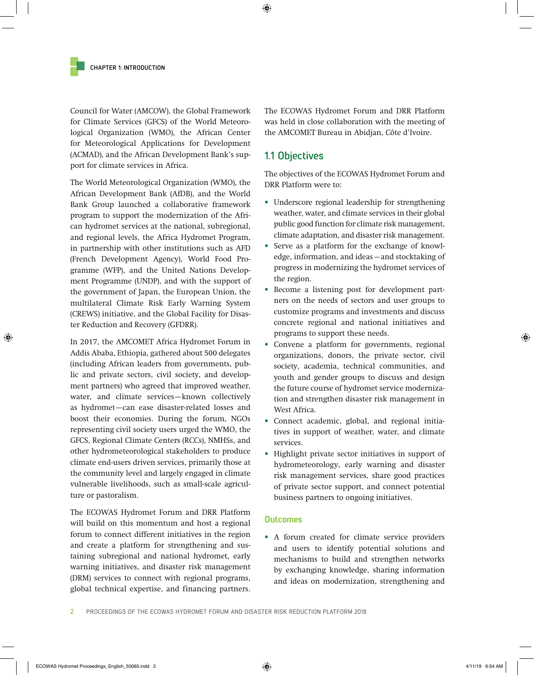<span id="page-16-0"></span>Council for Water (AMCOW), the Global Framework for Climate Services (GFCS) of the World Meteorological Organization (WMO), the African Center for Meteorological Applications for Development (ACMAD), and the African Development Bank's support for climate services in Africa.

The World Meteorological Organization (WMO), the African Development Bank (AfDB), and the World Bank Group launched a collaborative framework program to support the modernization of the African hydromet services at the national, subregional, and regional levels, the Africa Hydromet Program, in partnership with other institutions such as AFD (French Development Agency), World Food Programme (WFP), and the United Nations Development Programme (UNDP), and with the support of the government of Japan, the European Union, the multilateral Climate Risk Early Warning System (CREWS) initiative, and the Global Facility for Disaster Reduction and Recovery (GFDRR).

In 2017, the AMCOMET Africa Hydromet Forum in Addis Ababa, Ethiopia, gathered about 500 delegates (including African leaders from governments, public and private sectors, civil society, and development partners) who agreed that improved weather, water, and climate services—known collectively as hydromet—can ease disaster-related losses and boost their economies. During the forum, NGOs representing civil society users urged the WMO, the GFCS, Regional Climate Centers (RCCs), NMHSs, and other hydrometeorological stakeholders to produce climate end-users driven services, primarily those at the community level and largely engaged in climate vulnerable livelihoods, such as small-scale agriculture or pastoralism.

The ECOWAS Hydromet Forum and DRR Platform will build on this momentum and host a regional forum to connect different initiatives in the region and create a platform for strengthening and sustaining subregional and national hydromet, early warning initiatives, and disaster risk management (DRM) services to connect with regional programs, global technical expertise, and financing partners.

The ECOWAS Hydromet Forum and DRR Platform was held in close collaboration with the meeting of the AMCOMET Bureau in Abidjan, Côte d'Ivoire.

# **1.1 Objectives**

The objectives of the ECOWAS Hydromet Forum and DRR Platform were to:

- Underscore regional leadership for strengthening weather, water, and climate services in their global public good function for climate risk management, climate adaptation, and disaster risk management.
- Serve as a platform for the exchange of knowledge, information, and ideas–and stocktaking of progress in modernizing the hydromet services of the region.
- Become a listening post for development partners on the needs of sectors and user groups to customize programs and investments and discuss concrete regional and national initiatives and programs to support these needs.
- Convene a platform for governments, regional organizations, donors, the private sector, civil society, academia, technical communities, and youth and gender groups to discuss and design the future course of hydromet service modernization and strengthen disaster risk management in West Africa.
- Connect academic, global, and regional initiatives in support of weather, water, and climate services.
- Highlight private sector initiatives in support of hydrometeorology, early warning and disaster risk management services, share good practices of private sector support, and connect potential business partners to ongoing initiatives.

#### **Outcomes**

• A forum created for climate service providers and users to identify potential solutions and mechanisms to build and strengthen networks by exchanging knowledge, sharing information and ideas on modernization, strengthening and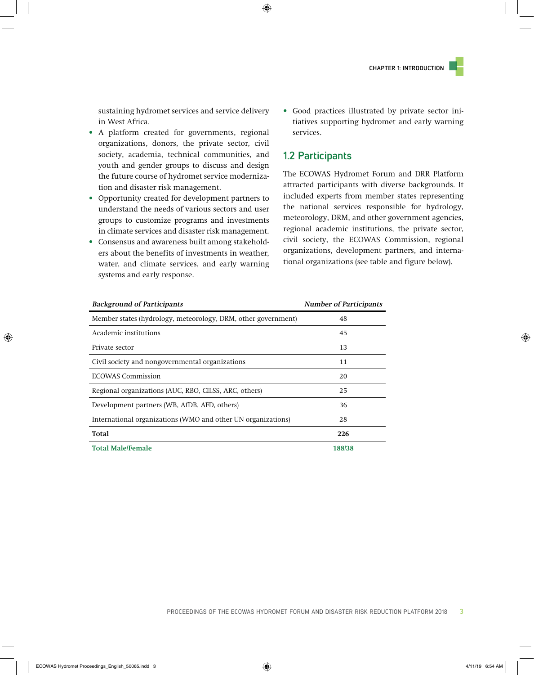<span id="page-17-0"></span>sustaining hydromet services and service delivery in West Africa.

- A platform created for governments, regional organizations, donors, the private sector, civil society, academia, technical communities, and youth and gender groups to discuss and design the future course of hydromet service modernization and disaster risk management.
- Opportunity created for development partners to understand the needs of various sectors and user groups to customize programs and investments in climate services and disaster risk management.
- Consensus and awareness built among stakeholders about the benefits of investments in weather, water, and climate services, and early warning systems and early response.

• Good practices illustrated by private sector initiatives supporting hydromet and early warning services.

# **1.2 Participants**

The ECOWAS Hydromet Forum and DRR Platform attracted participants with diverse backgrounds. It included experts from member states representing the national services responsible for hydrology, meteorology, DRM, and other government agencies, regional academic institutions, the private sector, civil society, the ECOWAS Commission, regional organizations, development partners, and international organizations (see table and figure below).

| <b>Background of Participants</b>                             | <b>Number of Participants</b> |
|---------------------------------------------------------------|-------------------------------|
| Member states (hydrology, meteorology, DRM, other government) | 48                            |
| Academic institutions                                         | 45                            |
| Private sector                                                | 13                            |
| Civil society and nongovernmental organizations               | 11                            |
| ECOWAS Commission                                             | 20                            |
| Regional organizations (AUC, RBO, CILSS, ARC, others)         | 25                            |
| Development partners (WB, AfDB, AFD, others)                  | 36                            |
| International organizations (WMO and other UN organizations)  | 28                            |
| Total                                                         | 226                           |
| <b>Total Male/Female</b>                                      | 188/38                        |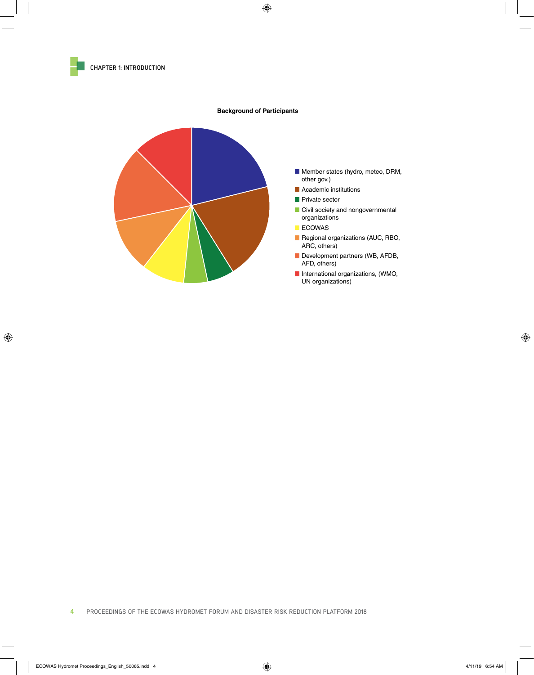

#### **Background of Participants**

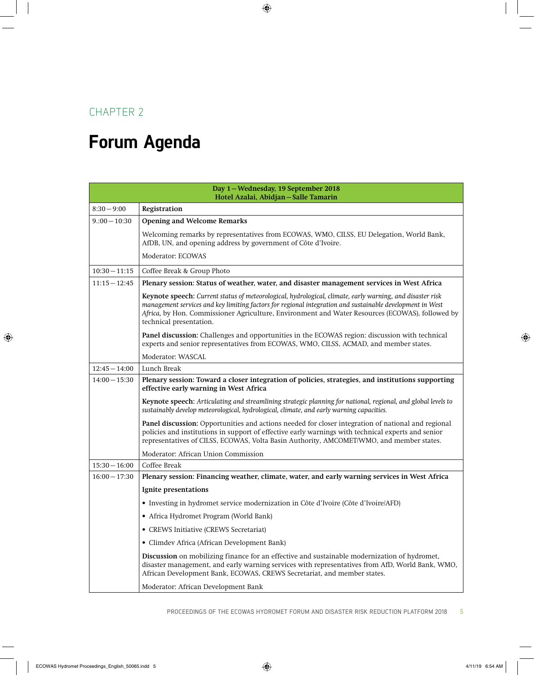# <span id="page-19-0"></span>**Forum Agenda**

| Day 1-Wednesday, 19 September 2018<br>Hotel Azalai, Abidjan - Salle Tamarin |                                                                                                                                                                                                                                                                                                                                                      |  |
|-----------------------------------------------------------------------------|------------------------------------------------------------------------------------------------------------------------------------------------------------------------------------------------------------------------------------------------------------------------------------------------------------------------------------------------------|--|
| $8:30 - 9:00$                                                               | Registration                                                                                                                                                                                                                                                                                                                                         |  |
| $9:00 - 10:30$                                                              | <b>Opening and Welcome Remarks</b>                                                                                                                                                                                                                                                                                                                   |  |
|                                                                             | Welcoming remarks by representatives from ECOWAS, WMO, CILSS, EU Delegation, World Bank,<br>AfDB, UN, and opening address by government of Côte d'Ivoire.                                                                                                                                                                                            |  |
|                                                                             | Moderator: ECOWAS                                                                                                                                                                                                                                                                                                                                    |  |
| $10:30 - 11:15$                                                             | Coffee Break & Group Photo                                                                                                                                                                                                                                                                                                                           |  |
| $11:15 - 12:45$                                                             | Plenary session: Status of weather, water, and disaster management services in West Africa                                                                                                                                                                                                                                                           |  |
|                                                                             | Keynote speech: Current status of meteorological, hydrological, climate, early warning, and disaster risk<br>management services and key limiting factors for regional integration and sustainable development in West<br>Africa, by Hon. Commissioner Agriculture, Environment and Water Resources (ECOWAS), followed by<br>technical presentation. |  |
|                                                                             | Panel discussion: Challenges and opportunities in the ECOWAS region: discussion with technical<br>experts and senior representatives from ECOWAS, WMO, CILSS, ACMAD, and member states.                                                                                                                                                              |  |
|                                                                             | Moderator: WASCAL                                                                                                                                                                                                                                                                                                                                    |  |
| $12:45 - 14:00$                                                             | Lunch Break                                                                                                                                                                                                                                                                                                                                          |  |
| $14:00 - 15:30$                                                             | Plenary session: Toward a closer integration of policies, strategies, and institutions supporting<br>effective early warning in West Africa                                                                                                                                                                                                          |  |
|                                                                             | Keynote speech: Articulating and streamlining strategic planning for national, regional, and global levels to<br>sustainably develop meteorological, hydrological, climate, and early warning capacities.                                                                                                                                            |  |
|                                                                             | Panel discussion: Opportunities and actions needed for closer integration of national and regional<br>policies and institutions in support of effective early warnings with technical experts and senior<br>representatives of CILSS, ECOWAS, Volta Basin Authority, AMCOMET/WMO, and member states.                                                 |  |
|                                                                             | Moderator: African Union Commission                                                                                                                                                                                                                                                                                                                  |  |
| $15:30 - 16:00$                                                             | Coffee Break                                                                                                                                                                                                                                                                                                                                         |  |
| $16:00 - 17:30$                                                             | Plenary session: Financing weather, climate, water, and early warning services in West Africa                                                                                                                                                                                                                                                        |  |
|                                                                             | Ignite presentations                                                                                                                                                                                                                                                                                                                                 |  |
|                                                                             | • Investing in hydromet service modernization in Côte d'Ivoire (Côte d'Ivoire/AFD)                                                                                                                                                                                                                                                                   |  |
|                                                                             | • Africa Hydromet Program (World Bank)                                                                                                                                                                                                                                                                                                               |  |
|                                                                             | • CREWS Initiative (CREWS Secretariat)                                                                                                                                                                                                                                                                                                               |  |
|                                                                             | • Climdev Africa (African Development Bank)                                                                                                                                                                                                                                                                                                          |  |
|                                                                             | Discussion on mobilizing finance for an effective and sustainable modernization of hydromet,<br>disaster management, and early warning services with representatives from AfD, World Bank, WMO,<br>African Development Bank, ECOWAS, CREWS Secretariat, and member states.                                                                           |  |
|                                                                             | Moderator: African Development Bank                                                                                                                                                                                                                                                                                                                  |  |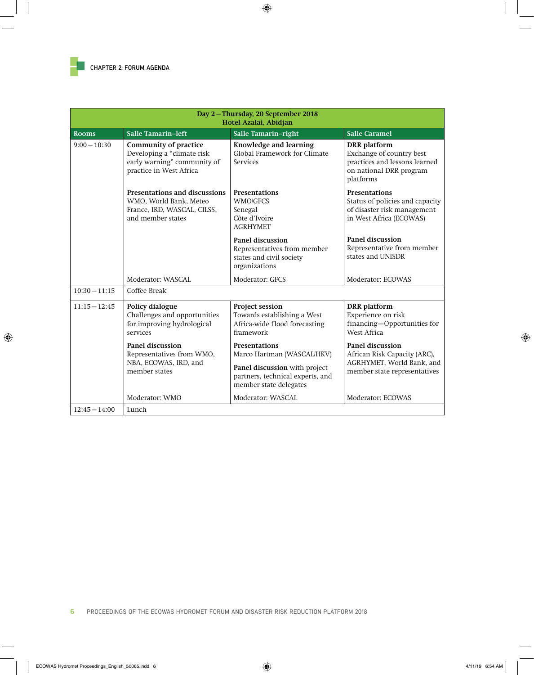| Day 2-Thursday, 20 September 2018<br>Hotel Azalai, Abidjan |                                                                                                               |                                                                                                                                            |                                                                                                                      |
|------------------------------------------------------------|---------------------------------------------------------------------------------------------------------------|--------------------------------------------------------------------------------------------------------------------------------------------|----------------------------------------------------------------------------------------------------------------------|
| <b>Rooms</b>                                               | Salle Tamarin-left                                                                                            | Salle Tamarin-right                                                                                                                        | Salle Caramel                                                                                                        |
| $9:00 - 10:30$                                             | Community of practice<br>Developing a "climate risk<br>early warning" community of<br>practice in West Africa | Knowledge and learning<br>Global Framework for Climate<br><b>Services</b>                                                                  | DRR platform<br>Exchange of country best<br>practices and lessons learned<br>on national DRR program<br>platforms    |
|                                                            | Presentations and discussions<br>WMO, World Bank, Meteo<br>France, IRD, WASCAL, CILSS,<br>and member states   | Presentations<br><b>WMO/GFCS</b><br>Senegal<br>Côte d'Ivoire<br><b>AGRHYMET</b>                                                            | Presentations<br>Status of policies and capacity<br>of disaster risk management<br>in West Africa (ECOWAS)           |
|                                                            |                                                                                                               | Panel discussion<br>Representatives from member<br>states and civil society<br>organizations                                               | Panel discussion<br>Representative from member<br>states and UNISDR                                                  |
|                                                            | Moderator: WASCAL                                                                                             | Moderator: GFCS                                                                                                                            | Moderator: ECOWAS                                                                                                    |
| $10:30 - 11:15$                                            | Coffee Break                                                                                                  |                                                                                                                                            |                                                                                                                      |
| $11:15 - 12:45$                                            | Policy dialogue<br>Challenges and opportunities<br>for improving hydrological<br>services                     | Project session<br>Towards establishing a West<br>Africa-wide flood forecasting<br>framework                                               | DRR platform<br>Experience on risk<br>financing-Opportunities for<br>West Africa                                     |
|                                                            | <b>Panel discussion</b><br>Representatives from WMO,<br>NBA, ECOWAS, IRD, and<br>member states                | Presentations<br>Marco Hartman (WASCAL/HKV)<br>Panel discussion with project<br>partners, technical experts, and<br>member state delegates | <b>Panel discussion</b><br>African Risk Capacity (ARC),<br>AGRHYMET, World Bank, and<br>member state representatives |
|                                                            | Moderator: WMO                                                                                                | Moderator: WASCAL                                                                                                                          | Moderator: ECOWAS                                                                                                    |
| $12:45 - 14:00$                                            | Lunch                                                                                                         |                                                                                                                                            |                                                                                                                      |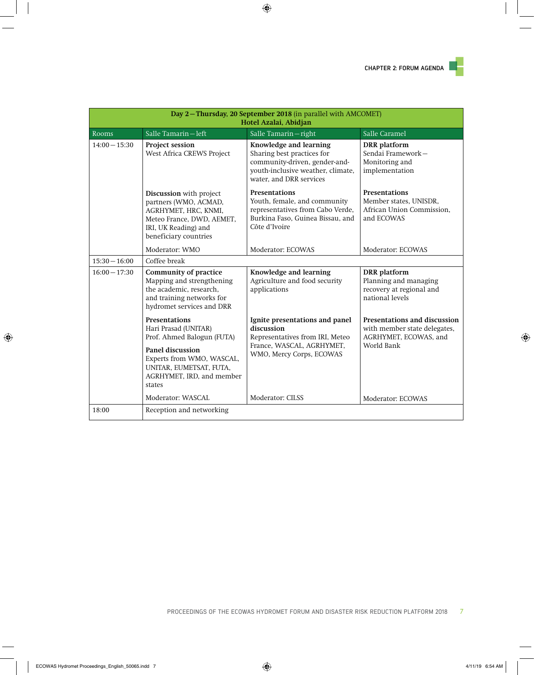Ť.

| Day 2-Thursday, 20 September 2018 (in parallel with AMCOMET)<br>Hotel Azalai, Abidjan |                                                                                                                                                                                        |                                                                                                                                                       |                                                                                                     |
|---------------------------------------------------------------------------------------|----------------------------------------------------------------------------------------------------------------------------------------------------------------------------------------|-------------------------------------------------------------------------------------------------------------------------------------------------------|-----------------------------------------------------------------------------------------------------|
| Rooms                                                                                 | Salle Tamarin-left                                                                                                                                                                     | Salle Tamarin - right                                                                                                                                 | Salle Caramel                                                                                       |
| $14:00 - 15:30$                                                                       | Project session<br>West Africa CREWS Project                                                                                                                                           | Knowledge and learning<br>Sharing best practices for<br>community-driven, gender-and-<br>youth-inclusive weather, climate,<br>water, and DRR services | DRR platform<br>Sendai Framework-<br>Monitoring and<br>implementation                               |
|                                                                                       | Discussion with project<br>partners (WMO, ACMAD,<br>AGRHYMET, HRC, KNMI,<br>Meteo France, DWD, AEMET,<br>IRI, UK Reading) and<br>beneficiary countries                                 | Presentations<br>Youth, female, and community<br>representatives from Cabo Verde,<br>Burkina Faso, Guinea Bissau, and<br>Côte d'Ivoire                | Presentations<br>Member states, UNISDR,<br>African Union Commission,<br>and ECOWAS                  |
|                                                                                       | Moderator: WMO                                                                                                                                                                         | Moderator: ECOWAS                                                                                                                                     | Moderator: ECOWAS                                                                                   |
| $15:30 - 16:00$                                                                       | Coffee break                                                                                                                                                                           |                                                                                                                                                       |                                                                                                     |
| $16:00 - 17:30$                                                                       | <b>Community of practice</b><br>Mapping and strengthening<br>the academic, research,<br>and training networks for<br>hydromet services and DRR                                         | Knowledge and learning<br>Agriculture and food security<br>applications                                                                               | DRR platform<br>Planning and managing<br>recovery at regional and<br>national levels                |
|                                                                                       | Presentations<br>Hari Prasad (UNITAR)<br>Prof. Ahmed Balogun (FUTA)<br>Panel discussion<br>Experts from WMO, WASCAL,<br>UNITAR, EUMETSAT, FUTA,<br>AGRHYMET, IRD, and member<br>states | Ignite presentations and panel<br>discussion<br>Representatives from IRI, Meteo<br>France, WASCAL, AGRHYMET,<br>WMO, Mercy Corps, ECOWAS              | Presentations and discussion<br>with member state delegates,<br>AGRHYMET, ECOWAS, and<br>World Bank |
|                                                                                       | Moderator: WASCAL                                                                                                                                                                      | Moderator: CILSS                                                                                                                                      | Moderator: ECOWAS                                                                                   |
| 18:00                                                                                 | Reception and networking                                                                                                                                                               |                                                                                                                                                       |                                                                                                     |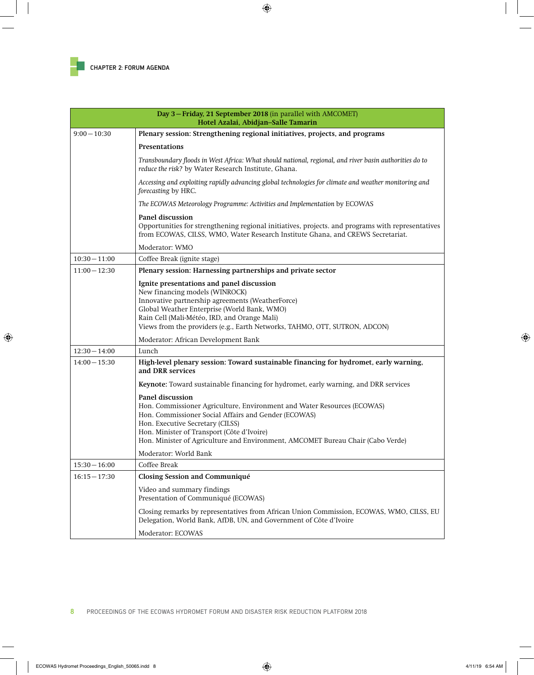| Day 3 – Friday, 21 September 2018 (in parallel with AMCOMET)<br>Hotel Azalai, Abidjan-Salle Tamarin |                                                                                                                                                                                                                                                                                                                                 |  |
|-----------------------------------------------------------------------------------------------------|---------------------------------------------------------------------------------------------------------------------------------------------------------------------------------------------------------------------------------------------------------------------------------------------------------------------------------|--|
| $9:00 - 10:30$                                                                                      | Plenary session: Strengthening regional initiatives, projects, and programs                                                                                                                                                                                                                                                     |  |
|                                                                                                     | Presentations                                                                                                                                                                                                                                                                                                                   |  |
|                                                                                                     | Transboundary floods in West Africa: What should national, regional, and river basin authorities do to<br>reduce the risk? by Water Research Institute, Ghana.                                                                                                                                                                  |  |
|                                                                                                     | Accessing and exploiting rapidly advancing global technologies for climate and weather monitoring and<br>forecasting by HRC.                                                                                                                                                                                                    |  |
|                                                                                                     | The ECOWAS Meteorology Programme: Activities and Implementation by ECOWAS                                                                                                                                                                                                                                                       |  |
|                                                                                                     | Panel discussion<br>Opportunities for strengthening regional initiatives, projects. and programs with representatives<br>from ECOWAS, CILSS, WMO, Water Research Institute Ghana, and CREWS Secretariat.                                                                                                                        |  |
|                                                                                                     | Moderator: WMO                                                                                                                                                                                                                                                                                                                  |  |
| $10:30 - 11:00$                                                                                     | Coffee Break (ignite stage)                                                                                                                                                                                                                                                                                                     |  |
| $11:00 - 12:30$                                                                                     | Plenary session: Harnessing partnerships and private sector                                                                                                                                                                                                                                                                     |  |
|                                                                                                     | Ignite presentations and panel discussion<br>New financing models (WINROCK)<br>Innovative partnership agreements (WeatherForce)<br>Global Weather Enterprise (World Bank, WMO)<br>Rain Cell (Mali-Météo, IRD, and Orange Mali)<br>Views from the providers (e.g., Earth Networks, TAHMO, OTT, SUTRON, ADCON)                    |  |
|                                                                                                     | Moderator: African Development Bank                                                                                                                                                                                                                                                                                             |  |
| $12:30 - 14:00$                                                                                     | Lunch                                                                                                                                                                                                                                                                                                                           |  |
| $14:00 - 15:30$                                                                                     | High-level plenary session: Toward sustainable financing for hydromet, early warning,<br>and DRR services                                                                                                                                                                                                                       |  |
|                                                                                                     | Keynote: Toward sustainable financing for hydromet, early warning, and DRR services                                                                                                                                                                                                                                             |  |
|                                                                                                     | <b>Panel discussion</b><br>Hon. Commissioner Agriculture, Environment and Water Resources (ECOWAS)<br>Hon. Commissioner Social Affairs and Gender (ECOWAS)<br>Hon. Executive Secretary (CILSS)<br>Hon. Minister of Transport (Côte d'Ivoire)<br>Hon. Minister of Agriculture and Environment, AMCOMET Bureau Chair (Cabo Verde) |  |
| $15:30 - 16:00$                                                                                     | Moderator: World Bank<br>Coffee Break                                                                                                                                                                                                                                                                                           |  |
| $16:15 - 17:30$                                                                                     | Closing Session and Communiqué                                                                                                                                                                                                                                                                                                  |  |
|                                                                                                     | Video and summary findings<br>Presentation of Communiqué (ECOWAS)                                                                                                                                                                                                                                                               |  |
|                                                                                                     | Closing remarks by representatives from African Union Commission, ECOWAS, WMO, CILSS, EU<br>Delegation, World Bank, AfDB, UN, and Government of Côte d'Ivoire                                                                                                                                                                   |  |
|                                                                                                     | Moderator: ECOWAS                                                                                                                                                                                                                                                                                                               |  |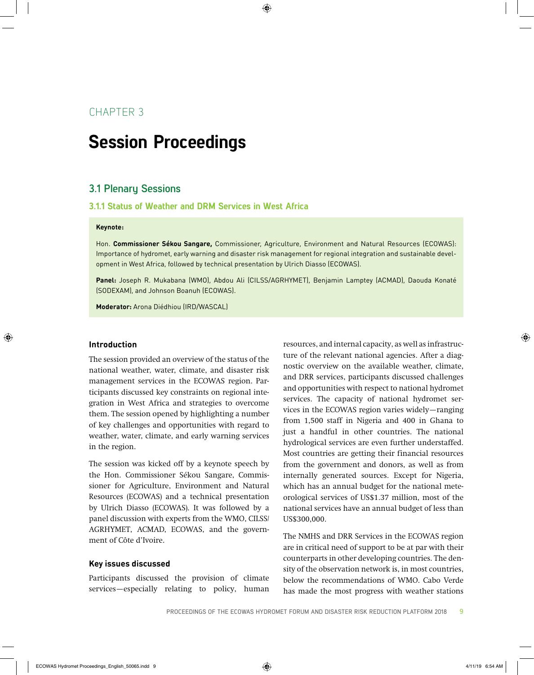# <span id="page-23-0"></span>CHAPTER 3

# **Session Proceedings**

# **3.1 Plenary Sessions**

#### **3.1.1 Status of Weather and DRM Services in West Africa**

#### **Keynote:**

Hon. **Commissioner Sékou Sangare,** Commissioner, Agriculture, Environment and Natural Resources (ECOWAS): Importance of hydromet, early warning and disaster risk management for regional integration and sustainable development in West Africa, followed by technical presentation by Ulrich Diasso (ECOWAS).

**Panel:** Joseph R. Mukabana (WMO), Abdou Ali (CILSS/AGRHYMET), Benjamin Lamptey (ACMAD), Daouda Konaté (SODEXAM), and Johnson Boanuh (ECOWAS).

**Moderator:** Arona Diédhiou (IRD/WASCAL)

#### **Introduction**

The session provided an overview of the status of the national weather, water, climate, and disaster risk management services in the ECOWAS region. Participants discussed key constraints on regional integration in West Africa and strategies to overcome them. The session opened by highlighting a number of key challenges and opportunities with regard to weather, water, climate, and early warning services in the region.

The session was kicked off by a keynote speech by the Hon. Commissioner Sékou Sangare, Commissioner for Agriculture, Environment and Natural Resources (ECOWAS) and a technical presentation by Ulrich Diasso (ECOWAS). It was followed by a panel discussion with experts from the WMO, CILSS/ AGRHYMET, ACMAD, ECOWAS, and the government of Côte d'Ivoire.

#### **Key issues discussed**

Participants discussed the provision of climate services—especially relating to policy, human resources, and internal capacity, as well as infrastructure of the relevant national agencies. After a diagnostic overview on the available weather, climate, and DRR services, participants discussed challenges and opportunities with respect to national hydromet services. The capacity of national hydromet services in the ECOWAS region varies widely—ranging from 1,500 staff in Nigeria and 400 in Ghana to just a handful in other countries. The national hydrological services are even further understaffed. Most countries are getting their financial resources from the government and donors, as well as from internally generated sources. Except for Nigeria, which has an annual budget for the national meteorological services of US\$1.37 million, most of the national services have an annual budget of less than US\$300,000.

The NMHS and DRR Services in the ECOWAS region are in critical need of support to be at par with their counterparts in other developing countries. The density of the observation network is, in most countries, below the recommendations of WMO. Cabo Verde has made the most progress with weather stations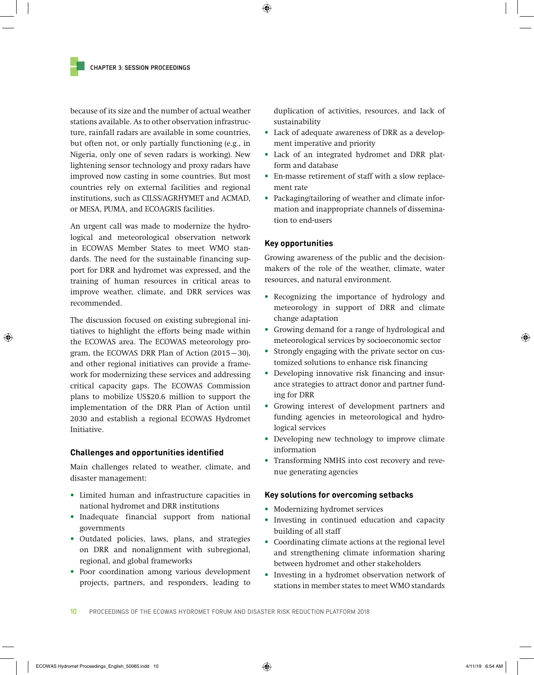because of its size and the number of actual weather stations available. As to other observation infrastructure, rainfall radars are available in some countries, but often not, or only partially functioning (e.g., in Nigeria, only one of seven radars is working). New lightening sensor technology and proxy radars have improved now casting in some countries. But most countries rely on external facilities and regional institutions, such as CILSS/AGRHYMET and ACMAD, or MESA, PUMA, and ECOAGRIS facilities.

An urgent call was made to modernize the hydrological and meteorological observation network in ECOWAS Member States to meet WMO standards. The need for the sustainable financing support for DRR and hydromet was expressed, and the training of human resources in critical areas to improve weather, climate, and DRR services was recommended.

The discussion focused on existing subregional initiatives to highlight the efforts being made within the ECOWAS area. The ECOWAS meteorology program, the ECOWAS DRR Plan of Action (2015–30), and other regional initiatives can provide a framework for modernizing these services and addressing critical capacity gaps. The ECOWAS Commission plans to mobilize US\$20.6 million to support the implementation of the DRR Plan of Action until 2030 and establish a regional ECOWAS Hydromet Initiative.

#### **Challenges and opportunities identified**

Main challenges related to weather, climate, and disaster management:

- Limited human and infrastructure capacities in national hydromet and DRR institutions
- Inadequate financial support from national governments
- Outdated policies, laws, plans, and strategies on DRR and nonalignment with subregional, regional, and global frameworks
- Poor coordination among various development projects, partners, and responders, leading to

duplication of activities, resources, and lack of sustainability

- Lack of adequate awareness of DRR as a development imperative and priority
- Lack of an integrated hydromet and DRR platform and database
- En-masse retirement of staff with a slow replacement rate
- Packaging/tailoring of weather and climate information and inappropriate channels of dissemination to end-users

#### **Key opportunities**

Growing awareness of the public and the decisionmakers of the role of the weather, climate, water resources, and natural environment.

- Recognizing the importance of hydrology and meteorology in support of DRR and climate change adaptation
- Growing demand for a range of hydrological and meteorological services by socioeconomic sector
- Strongly engaging with the private sector on customized solutions to enhance risk financing
- Developing innovative risk financing and insurance strategies to attract donor and partner funding for DRR
- Growing interest of development partners and funding agencies in meteorological and hydrological services
- Developing new technology to improve climate information
- Transforming NMHS into cost recovery and revenue generating agencies

#### **Key solutions for overcoming setbacks**

- Modernizing hydromet services
- Investing in continued education and capacity building of all staff
- Coordinating climate actions at the regional level and strengthening climate information sharing between hydromet and other stakeholders
- Investing in a hydromet observation network of stations in member states to meet WMO standards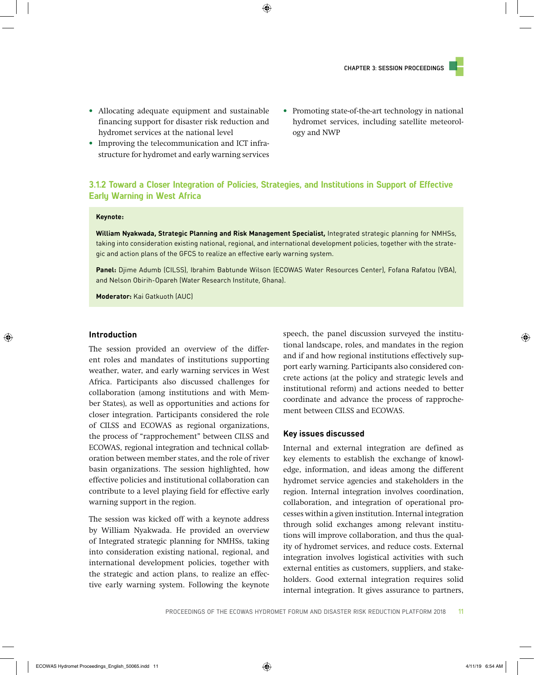- <span id="page-25-0"></span>• Allocating adequate equipment and sustainable financing support for disaster risk reduction and hydromet services at the national level
- Improving the telecommunication and ICT infrastructure for hydromet and early warning services
- Promoting state-of-the-art technology in national hydromet services, including satellite meteorology and NWP

# **3.1.2 Toward a Closer Integration of Policies, Strategies, and Institutions in Support of Effective Early Warning in West Africa**

#### **Keynote:**

**William Nyakwada, Strategic Planning and Risk Management Specialist,** Integrated strategic planning for NMHSs, taking into consideration existing national, regional, and international development policies, together with the strategic and action plans of the GFCS to realize an effective early warning system.

**Panel:** Djime Adumb (CILSS), Ibrahim Babtunde Wilson (ECOWAS Water Resources Center), Fofana Rafatou (VBA), and Nelson Obirih-Opareh (Water Research Institute, Ghana).

**Moderator:** Kai Gatkuoth (AUC)

#### **Introduction**

The session provided an overview of the different roles and mandates of institutions supporting weather, water, and early warning services in West Africa. Participants also discussed challenges for collaboration (among institutions and with Member States), as well as opportunities and actions for closer integration. Participants considered the role of CILSS and ECOWAS as regional organizations, the process of "rapprochement" between CILSS and ECOWAS, regional integration and technical collaboration between member states, and the role of river basin organizations. The session highlighted, how effective policies and institutional collaboration can contribute to a level playing field for effective early warning support in the region.

The session was kicked off with a keynote address by William Nyakwada. He provided an overview of Integrated strategic planning for NMHSs, taking into consideration existing national, regional, and international development policies, together with the strategic and action plans, to realize an effective early warning system. Following the keynote speech, the panel discussion surveyed the institutional landscape, roles, and mandates in the region and if and how regional institutions effectively support early warning. Participants also considered concrete actions (at the policy and strategic levels and institutional reform) and actions needed to better coordinate and advance the process of rapprochement between CILSS and ECOWAS.

#### **Key issues discussed**

Internal and external integration are defined as key elements to establish the exchange of knowledge, information, and ideas among the different hydromet service agencies and stakeholders in the region. Internal integration involves coordination, collaboration, and integration of operational processes within a given institution. Internal integration through solid exchanges among relevant institutions will improve collaboration, and thus the quality of hydromet services, and reduce costs. External integration involves logistical activities with such external entities as customers, suppliers, and stakeholders. Good external integration requires solid internal integration. It gives assurance to partners,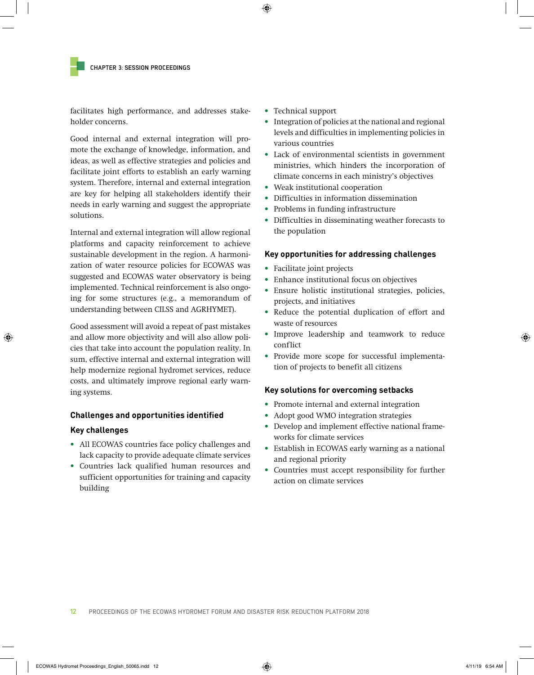

Good internal and external integration will promote the exchange of knowledge, information, and ideas, as well as effective strategies and policies and facilitate joint efforts to establish an early warning system. Therefore, internal and external integration are key for helping all stakeholders identify their needs in early warning and suggest the appropriate solutions.

Internal and external integration will allow regional platforms and capacity reinforcement to achieve sustainable development in the region. A harmonization of water resource policies for ECOWAS was suggested and ECOWAS water observatory is being implemented. Technical reinforcement is also ongoing for some structures (e.g., a memorandum of understanding between CILSS and AGRHYMET).

Good assessment will avoid a repeat of past mistakes and allow more objectivity and will also allow policies that take into account the population reality. In sum, effective internal and external integration will help modernize regional hydromet services, reduce costs, and ultimately improve regional early warning systems.

#### **Challenges and opportunities identified**

#### **Key challenges**

- All ECOWAS countries face policy challenges and lack capacity to provide adequate climate services
- Countries lack qualified human resources and sufficient opportunities for training and capacity building
- Technical support
- Integration of policies at the national and regional levels and difficulties in implementing policies in various countries
- Lack of environmental scientists in government ministries, which hinders the incorporation of climate concerns in each ministry's objectives
- Weak institutional cooperation
- Difficulties in information dissemination
- Problems in funding infrastructure
- Difficulties in disseminating weather forecasts to the population

#### **Key opportunities for addressing challenges**

- Facilitate joint projects
- Enhance institutional focus on objectives
- Ensure holistic institutional strategies, policies, projects, and initiatives
- Reduce the potential duplication of effort and waste of resources
- Improve leadership and teamwork to reduce conflict
- Provide more scope for successful implementation of projects to benefit all citizens

#### **Key solutions for overcoming setbacks**

- Promote internal and external integration
- Adopt good WMO integration strategies
- Develop and implement effective national frameworks for climate services
- Establish in ECOWAS early warning as a national and regional priority
- Countries must accept responsibility for further action on climate services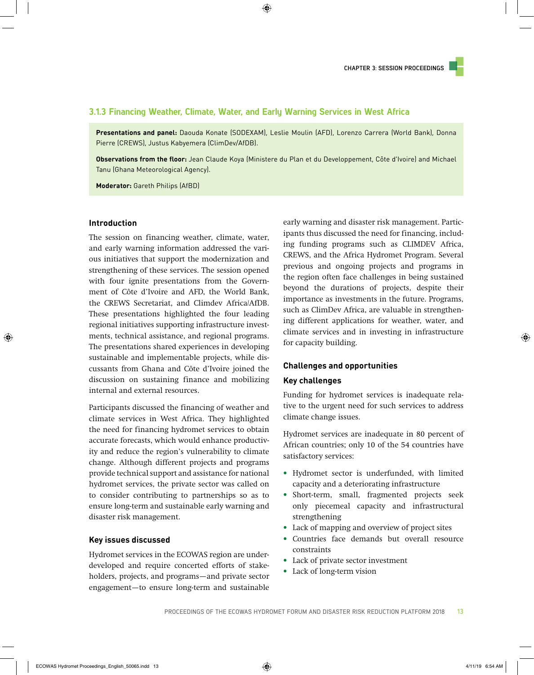#### <span id="page-27-0"></span>**3.1.3 Financing Weather, Climate, Water, and Early Warning Services in West Africa**

**Presentations and panel:** Daouda Konate (SODEXAM), Leslie Moulin (AFD), Lorenzo Carrera (World Bank), Donna Pierre (CREWS), Justus Kabyemera (ClimDev/AfDB).

**Observations from the floor:** Jean Claude Koya (Ministere du Plan et du Developpement, Côte d'Ivoire) and Michael Tanu (Ghana Meteorological Agency).

**Moderator:** Gareth Philips (AfBD)

#### **Introduction**

The session on financing weather, climate, water, and early warning information addressed the various initiatives that support the modernization and strengthening of these services. The session opened with four ignite presentations from the Government of Côte d'Ivoire and AFD, the World Bank, the CREWS Secretariat, and Climdev Africa/AfDB. These presentations highlighted the four leading regional initiatives supporting infrastructure investments, technical assistance, and regional programs. The presentations shared experiences in developing sustainable and implementable projects, while discussants from Ghana and Côte d'Ivoire joined the discussion on sustaining finance and mobilizing internal and external resources.

Participants discussed the financing of weather and climate services in West Africa. They highlighted the need for financing hydromet services to obtain accurate forecasts, which would enhance productivity and reduce the region's vulnerability to climate change. Although different projects and programs provide technical support and assistance for national hydromet services, the private sector was called on to consider contributing to partnerships so as to ensure long-term and sustainable early warning and disaster risk management.

#### **Key issues discussed**

Hydromet services in the ECOWAS region are underdeveloped and require concerted efforts of stakeholders, projects, and programs—and private sector engagement—to ensure long-term and sustainable early warning and disaster risk management. Participants thus discussed the need for financing, including funding programs such as CLIMDEV Africa, CREWS, and the Africa Hydromet Program. Several previous and ongoing projects and programs in the region often face challenges in being sustained beyond the durations of projects, despite their importance as investments in the future. Programs, such as ClimDev Africa, are valuable in strengthening different applications for weather, water, and climate services and in investing in infrastructure for capacity building.

#### **Challenges and opportunities**

#### **Key challenges**

Funding for hydromet services is inadequate relative to the urgent need for such services to address climate change issues.

Hydromet services are inadequate in 80 percent of African countries; only 10 of the 54 countries have satisfactory services:

- Hydromet sector is underfunded, with limited capacity and a deteriorating infrastructure
- Short-term, small, fragmented projects seek only piecemeal capacity and infrastructural strengthening
- Lack of mapping and overview of project sites
- Countries face demands but overall resource constraints
- Lack of private sector investment
- Lack of long-term vision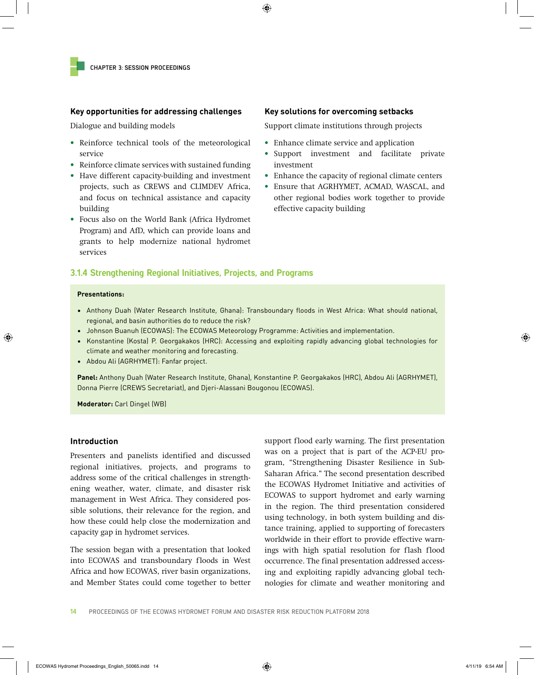#### <span id="page-28-0"></span>**Key opportunities for addressing challenges**

Dialogue and building models

- Reinforce technical tools of the meteorological service
- Reinforce climate services with sustained funding
- Have different capacity-building and investment projects, such as CREWS and CLIMDEV Africa, and focus on technical assistance and capacity building
- Focus also on the World Bank (Africa Hydromet Program) and AfD, which can provide loans and grants to help modernize national hydromet services

#### **Key solutions for overcoming setbacks**

Support climate institutions through projects

- Enhance climate service and application
- Support investment and facilitate private investment
- Enhance the capacity of regional climate centers
- Ensure that AGRHYMET, ACMAD, WASCAL, and other regional bodies work together to provide effective capacity building

#### **3.1.4 Strengthening Regional Initiatives, Projects, and Programs**

#### **Presentations:**

- Anthony Duah (Water Research Institute, Ghana): Transboundary floods in West Africa: What should national, regional, and basin authorities do to reduce the risk?
- Johnson Buanuh (ECOWAS): The ECOWAS Meteorology Programme: Activities and implementation.
- Konstantine (Kosta) P. Georgakakos (HRC): Accessing and exploiting rapidly advancing global technologies for climate and weather monitoring and forecasting.
- Abdou Ali (AGRHYMET): Fanfar project.

**Panel:** Anthony Duah (Water Research Institute, Ghana), Konstantine P. Georgakakos (HRC), Abdou Ali (AGRHYMET), Donna Pierre (CREWS Secretariat), and Djeri-Alassani Bougonou (ECOWAS).

**Moderator:** Carl Dingel (WB)

#### **Introduction**

Presenters and panelists identified and discussed regional initiatives, projects, and programs to address some of the critical challenges in strengthening weather, water, climate, and disaster risk management in West Africa. They considered possible solutions, their relevance for the region, and how these could help close the modernization and capacity gap in hydromet services.

The session began with a presentation that looked into ECOWAS and transboundary floods in West Africa and how ECOWAS, river basin organizations, and Member States could come together to better support flood early warning. The first presentation was on a project that is part of the ACP-EU program, "Strengthening Disaster Resilience in Sub-Saharan Africa." The second presentation described the ECOWAS Hydromet Initiative and activities of ECOWAS to support hydromet and early warning in the region. The third presentation considered using technology, in both system building and distance training, applied to supporting of forecasters worldwide in their effort to provide effective warnings with high spatial resolution for flash flood occurrence. The final presentation addressed accessing and exploiting rapidly advancing global technologies for climate and weather monitoring and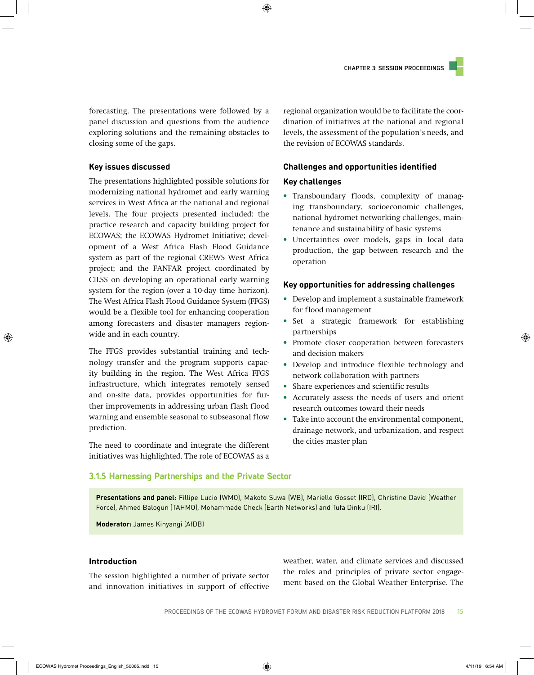<span id="page-29-0"></span>forecasting. The presentations were followed by a panel discussion and questions from the audience exploring solutions and the remaining obstacles to closing some of the gaps.

#### **Key issues discussed**

The presentations highlighted possible solutions for modernizing national hydromet and early warning services in West Africa at the national and regional levels. The four projects presented included: the practice research and capacity building project for ECOWAS; the ECOWAS Hydromet Initiative; development of a West Africa Flash Flood Guidance system as part of the regional CREWS West Africa project; and the FANFAR project coordinated by CILSS on developing an operational early warning system for the region (over a 10-day time horizon). The West Africa Flash Flood Guidance System (FFGS) would be a flexible tool for enhancing cooperation among forecasters and disaster managers regionwide and in each country.

The FFGS provides substantial training and technology transfer and the program supports capacity building in the region. The West Africa FFGS infrastructure, which integrates remotely sensed and on-site data, provides opportunities for further improvements in addressing urban flash flood warning and ensemble seasonal to subseasonal flow prediction.

The need to coordinate and integrate the different initiatives was highlighted. The role of ECOWAS as a

regional organization would be to facilitate the coordination of initiatives at the national and regional levels, the assessment of the population's needs, and the revision of ECOWAS standards.

#### **Challenges and opportunities identified**

#### **Key challenges**

- Transboundary floods, complexity of managing transboundary, socioeconomic challenges, national hydromet networking challenges, maintenance and sustainability of basic systems
- Uncertainties over models, gaps in local data production, the gap between research and the operation

#### **Key opportunities for addressing challenges**

- Develop and implement a sustainable framework for flood management
- Set a strategic framework for establishing partnerships
- Promote closer cooperation between forecasters and decision makers
- Develop and introduce flexible technology and network collaboration with partners
- Share experiences and scientific results
- Accurately assess the needs of users and orient research outcomes toward their needs
- Take into account the environmental component, drainage network, and urbanization, and respect the cities master plan

### **3.1.5 Harnessing Partnerships and the Private Sector**

**Presentations and panel:** Fillipe Lucio (WMO), Makoto Suwa (WB), Marielle Gosset (IRD), Christine David (Weather Force), Ahmed Balogun (TAHMO), Mohammade Check (Earth Networks) and Tufa Dinku (IRI).

**Moderator:** James Kinyangi (AfDB)

### **Introduction**

The session highlighted a number of private sector and innovation initiatives in support of effective weather, water, and climate services and discussed the roles and principles of private sector engagement based on the Global Weather Enterprise. The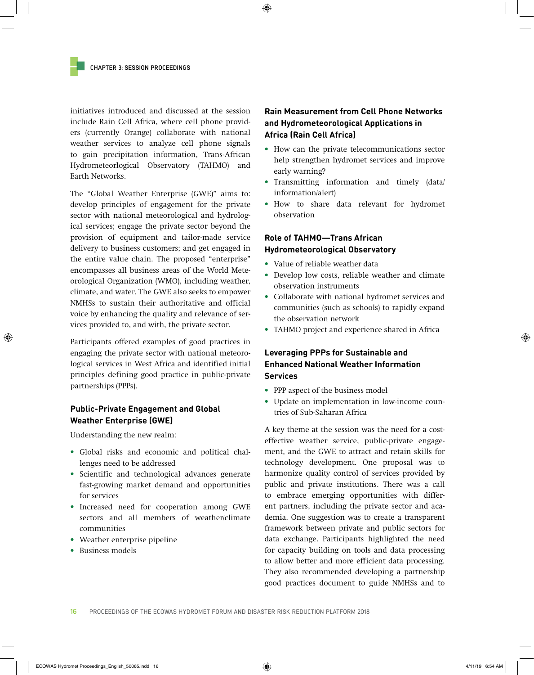initiatives introduced and discussed at the session include Rain Cell Africa, where cell phone providers (currently Orange) collaborate with national weather services to analyze cell phone signals to gain precipitation information, Trans-African Hydrometeorlogical Observatory (TAHMO) and Earth Networks.

The "Global Weather Enterprise (GWE)" aims to: develop principles of engagement for the private sector with national meteorological and hydrological services; engage the private sector beyond the provision of equipment and tailor-made service delivery to business customers; and get engaged in the entire value chain. The proposed "enterprise" encompasses all business areas of the World Meteorological Organization (WMO), including weather, climate, and water. The GWE also seeks to empower NMHSs to sustain their authoritative and official voice by enhancing the quality and relevance of services provided to, and with, the private sector.

Participants offered examples of good practices in engaging the private sector with national meteorological services in West Africa and identified initial principles defining good practice in public-private partnerships (PPPs).

### **Public-Private Engagement and Global Weather Enterprise (GWE)**

Understanding the new realm:

- Global risks and economic and political challenges need to be addressed
- Scientific and technological advances generate fast-growing market demand and opportunities for services
- Increased need for cooperation among GWE sectors and all members of weather/climate communities
- Weather enterprise pipeline
- Business models

# **Rain Measurement from Cell Phone Networks and Hydrometeorological Applications in Africa (Rain Cell Africa)**

- How can the private telecommunications sector help strengthen hydromet services and improve early warning?
- Transmitting information and timely (data/ information/alert)
- How to share data relevant for hydromet observation

# **Role of TAHMO—Trans African Hydrometeorological Observatory**

- Value of reliable weather data
- Develop low costs, reliable weather and climate observation instruments
- Collaborate with national hydromet services and communities (such as schools) to rapidly expand the observation network
- TAHMO project and experience shared in Africa

# **Leveraging PPPs for Sustainable and Enhanced National Weather Information Services**

- PPP aspect of the business model
- Update on implementation in low-income countries of Sub-Saharan Africa

A key theme at the session was the need for a costeffective weather service, public-private engagement, and the GWE to attract and retain skills for technology development. One proposal was to harmonize quality control of services provided by public and private institutions. There was a call to embrace emerging opportunities with different partners, including the private sector and academia. One suggestion was to create a transparent framework between private and public sectors for data exchange. Participants highlighted the need for capacity building on tools and data processing to allow better and more efficient data processing. They also recommended developing a partnership good practices document to guide NMHSs and to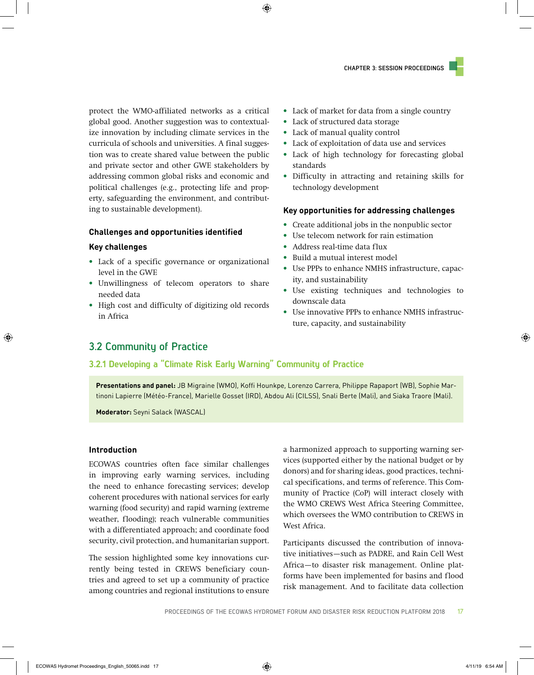<span id="page-31-0"></span>protect the WMO-affiliated networks as a critical global good. Another suggestion was to contextualize innovation by including climate services in the curricula of schools and universities. A final suggestion was to create shared value between the public and private sector and other GWE stakeholders by addressing common global risks and economic and political challenges (e.g., protecting life and property, safeguarding the environment, and contributing to sustainable development).

#### **Challenges and opportunities identified**

#### **Key challenges**

- Lack of a specific governance or organizational level in the GWE
- Unwillingness of telecom operators to share needed data
- High cost and difficulty of digitizing old records in Africa
- Lack of market for data from a single country
- Lack of structured data storage
- Lack of manual quality control
- Lack of exploitation of data use and services
- Lack of high technology for forecasting global standards
- Difficulty in attracting and retaining skills for technology development

#### **Key opportunities for addressing challenges**

- Create additional jobs in the nonpublic sector
- Use telecom network for rain estimation
- Address real-time data flux
- Build a mutual interest model
- Use PPPs to enhance NMHS infrastructure, capacity, and sustainability
- Use existing techniques and technologies to downscale data
- Use innovative PPPs to enhance NMHS infrastructure, capacity, and sustainability

# **3.2 Community of Practice**

# **3.2.1 Developing a "Climate Risk Early Warning" Community of Practice**

**Presentations and panel:** JB Migraine (WMO), Koffi Hounkpe, Lorenzo Carrera, Philippe Rapaport (WB), Sophie Martinoni Lapierre (Météo-France), Marielle Gosset (IRD), Abdou Ali (CILSS), Snali Berte (Mali), and Siaka Traore (Mali).

**Moderator:** Seyni Salack (WASCAL)

#### **Introduction**

ECOWAS countries often face similar challenges in improving early warning services, including the need to enhance forecasting services; develop coherent procedures with national services for early warning (food security) and rapid warning (extreme weather, flooding); reach vulnerable communities with a differentiated approach; and coordinate food security, civil protection, and humanitarian support.

The session highlighted some key innovations currently being tested in CREWS beneficiary countries and agreed to set up a community of practice among countries and regional institutions to ensure a harmonized approach to supporting warning services (supported either by the national budget or by donors) and for sharing ideas, good practices, technical specifications, and terms of reference. This Community of Practice (CoP) will interact closely with the WMO CREWS West Africa Steering Committee, which oversees the WMO contribution to CREWS in West Africa.

Participants discussed the contribution of innovative initiatives—such as PADRE, and Rain Cell West Africa—to disaster risk management. Online platforms have been implemented for basins and flood risk management. And to facilitate data collection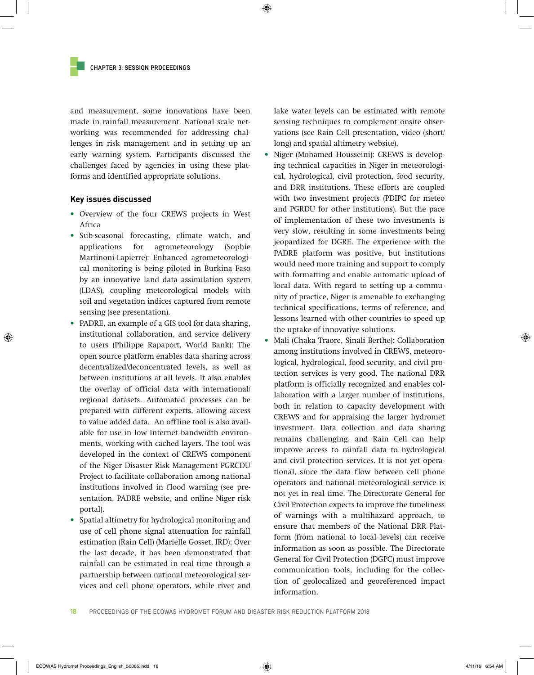and measurement, some innovations have been made in rainfall measurement. National scale networking was recommended for addressing challenges in risk management and in setting up an early warning system. Participants discussed the challenges faced by agencies in using these platforms and identified appropriate solutions.

#### **Key issues discussed**

- Overview of the four CREWS projects in West Africa
- Sub-seasonal forecasting, climate watch, and applications for agrometeorology (Sophie Martinoni-Lapierre): Enhanced agrometeorological monitoring is being piloted in Burkina Faso by an innovative land data assimilation system (LDAS), coupling meteorological models with soil and vegetation indices captured from remote sensing (see [presentation\)](https://docs.google.com/presentation/d/1FxW_uglHDbbTjlzpIWf_jMt7Odl3vBVad_hULohuGxQ/edit?usp=sharing).
- PADRE, an example of a GIS tool for data sharing, institutional collaboration, and service delivery to users (Philippe Rapaport, World Bank): The open source platform enables data sharing across decentralized/deconcentrated levels, as well as between institutions at all levels. It also enables the overlay of official data with international/ regional datasets. Automated processes can be prepared with different experts, allowing access to value added data. An offline tool is also available for use in low Internet bandwidth environments, working with cached layers. The tool was developed in the context of CREWS component of the [Niger Disaster Risk Management PGRCDU](https://pgrcdu-niger.org/) [Project](https://pgrcdu-niger.org/) to facilitate collaboration among national institutions involved in flood warning (see [pre](https://docs.google.com/presentation/d/18OuguoATRbmSxTG8H-aE7JcxJKagp43jW8tOBVdK2xk/edit?usp=sharing)[sentation,](https://docs.google.com/presentation/d/18OuguoATRbmSxTG8H-aE7JcxJKagp43jW8tOBVdK2xk/edit?usp=sharing) PADRE website, and [online Niger risk](http://risques-niger.org/)  [portal\)](http://risques-niger.org/).
- Spatial altimetry for hydrological monitoring and use of cell phone signal attenuation for rainfall estimation (Rain Cell) (Marielle Gosset, IRD): Over the last decade, it has been demonstrated that rainfall can be estimated in real time through a partnership between national meteorological services and cell phone operators, while river and

lake water levels can be estimated with remote sensing techniques to complement onsite observations (see [Rain Cell presentation](https://docs.google.com/presentation/d/1yUpSwqdfxYAf8wDTpptU1xjcM46cfuawbFZWmReI7_8/edit?usp=sharing), video ([short/](https://youtu.be/QM9GHchJIf4) [long\)](https://youtu.be/FwdfSTrG_88) and [spatial altimetry website](http://hydroweb.theia-land.fr/)).

- Niger (Mohamed Housseini): CREWS is developing technical capacities in Niger in meteorological, hydrological, civil protection, food security, and DRR institutions. These efforts are coupled with two investment projects ([PDIPC](https://www.afdb.org/fileadmin/uploads/afdb/Documents/Project-and-Operations/Niger_-_Projet_de_d%C3%A9veloppement_de_l%E2%80%99information_et_de_la_prospective_climatiques__PDIPC__-_Rapport_d%E2%80%99%C3%A9valuation_.pdf) for meteo and [PGRDU](https://pgrcdu-niger.org/) for other institutions). But the pace of implementation of these two investments is very slow, resulting in some investments being jeopardized for DGRE. The experience with the PADRE platform was positive, but institutions would need more training and support to comply with formatting and enable automatic upload of local data. With regard to setting up a community of practice, Niger is amenable to exchanging technical specifications, terms of reference, and lessons learned with other countries to speed up the uptake of innovative solutions.
- Mali (Chaka Traore, Sinali Berthe): Collaboration among institutions involved in CREWS, meteorological, hydrological, food security, and civil protection services is very good. The national DRR platform is officially recognized and enables collaboration with a larger number of institutions, both in relation to capacity development with CREWS and for appraising the larger hydromet investment. Data collection and data sharing remains challenging, and Rain Cell can help improve access to rainfall data to hydrological and civil protection services. It is not yet operational, since the data flow between cell phone operators and national meteorological service is not yet in real time. The Directorate General for Civil Protection expects to improve the timeliness of warnings with a multihazard approach, to ensure that members of the National DRR Platform (from national to local levels) can receive information as soon as possible. The Directorate General for Civil Protection (DGPC) must improve communication tools, including for the collection of geolocalized and georeferenced impact information.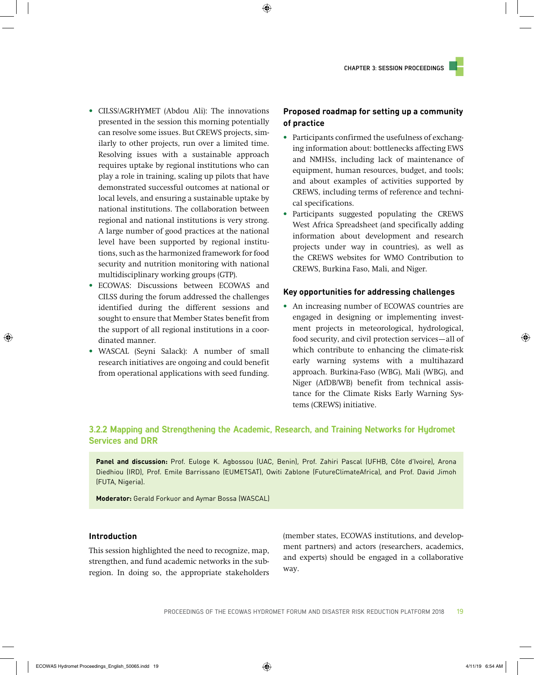- <span id="page-33-0"></span>• CILSS/AGRHYMET (Abdou Ali): The innovations presented in the session this morning potentially can resolve some issues. But CREWS projects, similarly to other projects, run over a limited time. Resolving issues with a sustainable approach requires uptake by regional institutions who can play a role in training, scaling up pilots that have demonstrated successful outcomes at national or local levels, and ensuring a sustainable uptake by national institutions. The collaboration between regional and national institutions is very strong. A large number of good practices at the national level have been supported by regional institutions, such as the harmonized framework for food security and nutrition monitoring with national multidisciplinary working groups (GTP).
- ECOWAS: Discussions between ECOWAS and CILSS during the forum addressed the challenges identified during the different sessions and sought to ensure that Member States benefit from the support of all regional institutions in a coordinated manner.
- WASCAL (Seyni Salack): A number of small research initiatives are ongoing and could benefit from operational applications with seed funding.

# **Proposed roadmap for setting up a community of practice**

- Participants confirmed the usefulness of exchanging information about: bottlenecks affecting EWS and NMHSs, including lack of maintenance of equipment, human resources, budget, and tools; and about examples of activities supported by CREWS, including terms of reference and technical specifications.
- Participants suggested populating the [CREWS](https://goo.gl/YdgFXP) [West Africa Spreadsheet](https://goo.gl/YdgFXP) (and specifically adding information about development and research projects under way in countries), as well as the CREWS websites for [WMO Contribution to](https://my.alfresco.com/share/wmo.int/page/site/CREWS-wmo-contributions/dashboard)  [CREWS,](https://my.alfresco.com/share/wmo.int/page/site/CREWS-wmo-contributions/dashboard) [Burkina Faso](https://my.alfresco.com/share/wmo.int/page/site/crews-burkina-faso/dashboard), Mali, and Niger.

### **Key opportunities for addressing challenges**

• An increasing number of ECOWAS countries are engaged in designing or implementing investment projects in meteorological, hydrological, food security, and civil protection services—all of which contribute to enhancing the climate-risk early warning systems with a multihazard approach. Burkina-Faso (WBG), Mali (WBG), and Niger (AfDB/WB) benefit from technical assistance for the Climate Risks Early Warning Systems (CREWS) initiative.

# **3.2.2 Mapping and Strengthening the Academic, Research, and Training Networks for Hydromet Services and DRR**

**Panel and discussion:** Prof. Euloge K. Agbossou (UAC, Benin), Prof. Zahiri Pascal (UFHB, Côte d'Ivoire), Arona Diedhiou (IRD), Prof. Emile Barrissano (EUMETSAT), Owiti Zablone (FutureClimateAfrica), and Prof. David Jimoh (FUTA, Nigeria).

**Moderator:** Gerald Forkuor and Aymar Bossa (WASCAL)

#### **Introduction**

This session highlighted the need to recognize, map, strengthen, and fund academic networks in the subregion. In doing so, the appropriate stakeholders (member states, ECOWAS institutions, and development partners) and actors (researchers, academics, and experts) should be engaged in a collaborative way.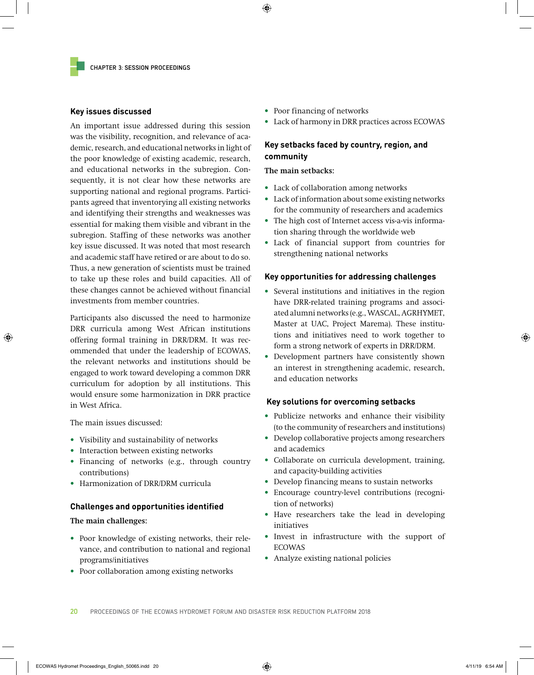#### **Key issues discussed**

An important issue addressed during this session was the visibility, recognition, and relevance of academic, research, and educational networks in light of the poor knowledge of existing academic, research, and educational networks in the subregion. Consequently, it is not clear how these networks are supporting national and regional programs. Participants agreed that inventorying all existing networks and identifying their strengths and weaknesses was essential for making them visible and vibrant in the subregion. Staffing of these networks was another key issue discussed. It was noted that most research and academic staff have retired or are about to do so. Thus, a new generation of scientists must be trained to take up these roles and build capacities. All of these changes cannot be achieved without financial investments from member countries.

Participants also discussed the need to harmonize DRR curricula among West African institutions offering formal training in DRR/DRM. It was recommended that under the leadership of ECOWAS, the relevant networks and institutions should be engaged to work toward developing a common DRR curriculum for adoption by all institutions. This would ensure some harmonization in DRR practice in West Africa.

The main issues discussed:

- Visibility and sustainability of networks
- Interaction between existing networks
- Financing of networks (e.g., through country contributions)
- Harmonization of DRR/DRM curricula

#### **Challenges and opportunities identified**

#### **The main challenges:**

- Poor knowledge of existing networks, their relevance, and contribution to national and regional programs/initiatives
- Poor collaboration among existing networks
- Poor financing of networks
- Lack of harmony in DRR practices across ECOWAS

### **Key setbacks faced by country, region, and community**

#### **The main setbacks:**

- Lack of collaboration among networks
- Lack of information about some existing networks for the community of researchers and academics
- The high cost of Internet access vis-a-vis information sharing through the worldwide web
- Lack of financial support from countries for strengthening national networks

#### **Key opportunities for addressing challenges**

- Several institutions and initiatives in the region have DRR-related training programs and associated alumni networks (e.g., WASCAL, AGRHYMET, Master at UAC, Project Marema). These institutions and initiatives need to work together to form a strong network of experts in DRR/DRM.
- Development partners have consistently shown an interest in strengthening academic, research, and education networks

#### **Key solutions for overcoming setbacks**

- Publicize networks and enhance their visibility (to the community of researchers and institutions)
- Develop collaborative projects among researchers and academics
- Collaborate on curricula development, training, and capacity-building activities
- Develop financing means to sustain networks
- Encourage country-level contributions (recognition of networks)
- Have researchers take the lead in developing initiatives
- Invest in infrastructure with the support of ECOWAS
- Analyze existing national policies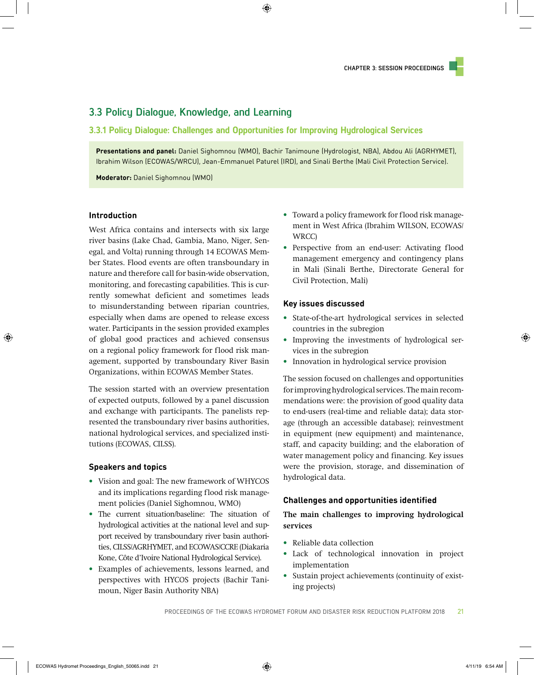# <span id="page-35-0"></span>**3.3 Policy Dialogue, Knowledge, and Learning**

#### **3.3.1 Policy Dialogue: Challenges and Opportunities for Improving Hydrological Services**

**Presentations and panel:** Daniel Sighomnou (WMO), Bachir Tanimoune (Hydrologist, NBA), Abdou Ali (AGRHYMET), Ibrahim Wilson (ECOWAS/WRCU), Jean-Emmanuel Paturel (IRD), and Sinali Berthe (Mali Civil Protection Service).

**Moderator:** Daniel Sighomnou (WMO)

#### **Introduction**

West Africa contains and intersects with six large river basins (Lake Chad, Gambia, Mano, Niger, Senegal, and Volta) running through 14 ECOWAS Member States. Flood events are often transboundary in nature and therefore call for basin-wide observation, monitoring, and forecasting capabilities. This is currently somewhat deficient and sometimes leads to misunderstanding between riparian countries, especially when dams are opened to release excess water. Participants in the session provided examples of global good practices and achieved consensus on a regional policy framework for flood risk management, supported by transboundary River Basin Organizations, within ECOWAS Member States.

The session started with an overview presentation of expected outputs, followed by a panel discussion and exchange with participants. The panelists represented the transboundary river basins authorities, national hydrological services, and specialized institutions (ECOWAS, CILSS).

#### **Speakers and topics**

- Vision and goal: The new framework of WHYCOS and its implications regarding flood risk management policies (Daniel Sighomnou, WMO)
- The current situation/baseline: The situation of hydrological activities at the national level and support received by transboundary river basin authorities, CILSS/AGRHYMET, and ECOWAS/CCRE (Diakaria Kone, Côte d'Ivoire National Hydrological Service).
- Examples of achievements, lessons learned, and perspectives with HYCOS projects (Bachir Tanimoun, Niger Basin Authority NBA)
- Toward a policy framework for flood risk management in West Africa (Ibrahim WILSON, ECOWAS/ WRCC)
- Perspective from an end-user: Activating flood management emergency and contingency plans in Mali (Sinali Berthe, Directorate General for Civil Protection, Mali)

#### **Key issues discussed**

- State-of-the-art hydrological services in selected countries in the subregion
- Improving the investments of hydrological services in the subregion
- Innovation in hydrological service provision

The session focused on challenges and opportunities for improving hydrological services. The main recommendations were: the provision of good quality data to end-users (real-time and reliable data); data storage (through an accessible database); reinvestment in equipment (new equipment) and maintenance, staff, and capacity building; and the elaboration of water management policy and financing. Key issues were the provision, storage, and dissemination of hydrological data.

#### **Challenges and opportunities identified**

### **The main challenges to improving hydrological services**

- Reliable data collection
- Lack of technological innovation in project implementation
- Sustain project achievements (continuity of existing projects)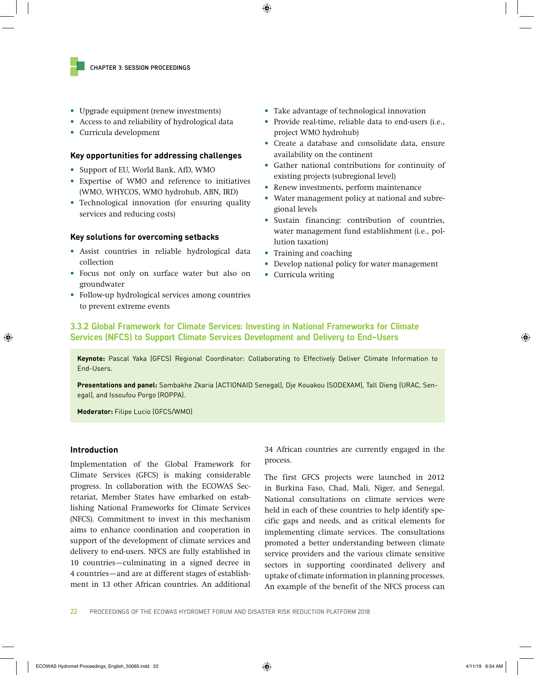<span id="page-36-0"></span>

- Upgrade equipment (renew investments)
- Access to and reliability of hydrological data
- Curricula development

#### **Key opportunities for addressing challenges**

- Support of EU, World Bank, AfD, WMO
- Expertise of WMO and reference to initiatives (WMO, WHYCOS, WMO hydrohub, ABN, IRD)
- Technological innovation (for ensuring quality services and reducing costs)

#### **Key solutions for overcoming setbacks**

- Assist countries in reliable hydrological data collection
- Focus not only on surface water but also on groundwater
- Follow-up hydrological services among countries to prevent extreme events
- Take advantage of technological innovation
- Provide real-time, reliable data to end-users (i.e., project WMO hydrohub)
- Create a database and consolidate data, ensure availability on the continent
- Gather national contributions for continuity of existing projects (subregional level)
- Renew investments, perform maintenance
- Water management policy at national and subregional levels
- Sustain financing: contribution of countries, water management fund establishment (i.e., pollution taxation)
- Training and coaching
- Develop national policy for water management
- Curricula writing

# **3.3.2 Global Framework for Climate Services: Investing in National Frameworks for Climate Services (NFCS) to Support Climate Services Development and Delivery to End-Users**

**Keynote:** Pascal Yaka (GFCS) Regional Coordinator: Collaborating to Effectively Deliver Climate Information to End-Users.

**Presentations and panel:** Sambakhe Zkaria (ACTIONAID Senegal), Dje Kouakou (SODEXAM), Tall Dieng (URAC, Senegal), and Issoufou Porgo (ROPPA).

**Moderator:** Filipe Lucio (GFCS/WMO)

#### **Introduction**

Implementation of the Global Framework for Climate Services (GFCS) is making considerable progress. In collaboration with the ECOWAS Secretariat, Member States have embarked on establishing National Frameworks for Climate Services (NFCS). Commitment to invest in this mechanism aims to enhance coordination and cooperation in support of the development of climate services and delivery to end-users. NFCS are fully established in 10 countries—culminating in a signed decree in 4 countries—and are at different stages of establishment in 13 other African countries. An additional 34 African countries are currently engaged in the process.

The first GFCS projects were launched in 2012 in Burkina Faso, Chad, Mali, Niger, and Senegal. National consultations on climate services were held in each of these countries to help identify specific gaps and needs, and as critical elements for implementing climate services. The consultations promoted a better understanding between climate service providers and the various climate sensitive sectors in supporting coordinated delivery and uptake of climate information in planning processes. An example of the benefit of the NFCS process can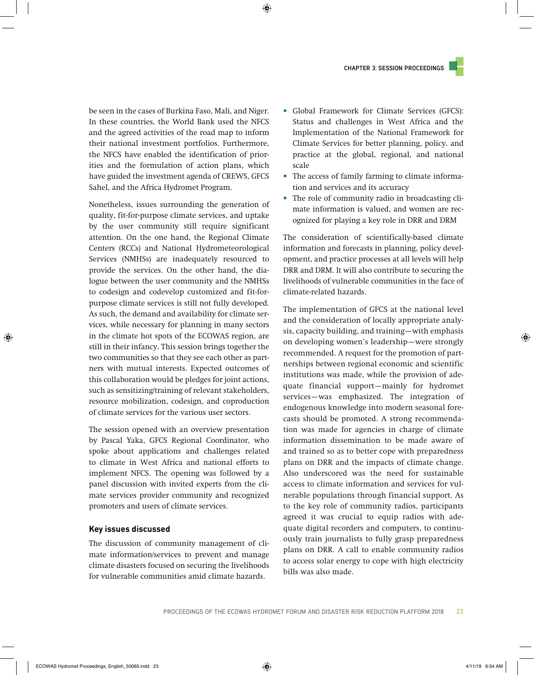be seen in the cases of Burkina Faso, Mali, and Niger. In these countries, the World Bank used the NFCS and the agreed activities of the road map to inform their national investment portfolios. Furthermore, the NFCS have enabled the identification of priorities and the formulation of action plans, which have guided the investment agenda of CREWS, GFCS Sahel, and the Africa Hydromet Program.

Nonetheless, issues surrounding the generation of quality, fit-for-purpose climate services, and uptake by the user community still require significant attention. On the one hand, the Regional Climate Centers (RCCs) and National Hydrometeorological Services (NMHSs) are inadequately resourced to provide the services. On the other hand, the dialogue between the user community and the NMHSs to codesign and codevelop customized and fit-forpurpose climate services is still not fully developed. As such, the demand and availability for climate services, while necessary for planning in many sectors in the climate hot spots of the ECOWAS region, are still in their infancy. This session brings together the two communities so that they see each other as partners with mutual interests. Expected outcomes of this collaboration would be pledges for joint actions, such as sensitizing/training of relevant stakeholders, resource mobilization, codesign, and coproduction of climate services for the various user sectors.

The session opened with an overview presentation by Pascal Yaka, GFCS Regional Coordinator, who spoke about applications and challenges related to climate in West Africa and national efforts to implement NFCS. The opening was followed by a panel discussion with invited experts from the climate services provider community and recognized promoters and users of climate services.

#### **Key issues discussed**

The discussion of community management of climate information/services to prevent and manage climate disasters focused on securing the livelihoods for vulnerable communities amid climate hazards.

- Global Framework for Climate Services (GFCS): Status and challenges in West Africa and the Implementation of the National Framework for Climate Services for better planning, policy. and practice at the global, regional, and national scale
- The access of family farming to climate information and services and its accuracy
- The role of community radio in broadcasting climate information is valued, and women are recognized for playing a key role in DRR and DRM

The consideration of scientifically-based climate information and forecasts in planning, policy development, and practice processes at all levels will help DRR and DRM. It will also contribute to securing the livelihoods of vulnerable communities in the face of climate-related hazards.

The implementation of GFCS at the national level and the consideration of locally appropriate analysis, capacity building, and training—with emphasis on developing women's leadership—were strongly recommended. A request for the promotion of partnerships between regional economic and scientific institutions was made, while the provision of adequate financial support—mainly for hydromet services—was emphasized. The integration of endogenous knowledge into modern seasonal forecasts should be promoted. A strong recommendation was made for agencies in charge of climate information dissemination to be made aware of and trained so as to better cope with preparedness plans on DRR and the impacts of climate change. Also underscored was the need for sustainable access to climate information and services for vulnerable populations through financial support. As to the key role of community radios, participants agreed it was crucial to equip radios with adequate digital recorders and computers, to continuously train journalists to fully grasp preparedness plans on DRR. A call to enable community radios to access solar energy to cope with high electricity bills was also made.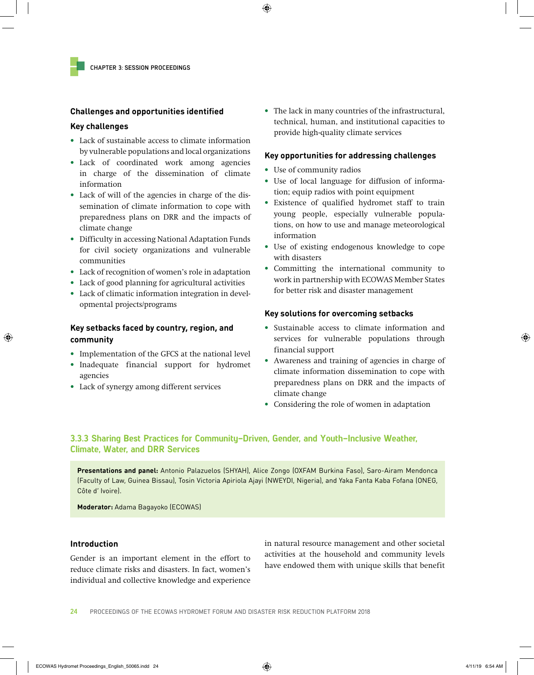#### <span id="page-38-0"></span>**Challenges and opportunities identified**

#### **Key challenges**

- Lack of sustainable access to climate information by vulnerable populations and local organizations
- Lack of coordinated work among agencies in charge of the dissemination of climate information
- Lack of will of the agencies in charge of the dissemination of climate information to cope with preparedness plans on DRR and the impacts of climate change
- Difficulty in accessing National Adaptation Funds for civil society organizations and vulnerable communities
- Lack of recognition of women's role in adaptation
- Lack of good planning for agricultural activities
- Lack of climatic information integration in developmental projects/programs

### **Key setbacks faced by country, region, and community**

- Implementation of the GFCS at the national level
- Inadequate financial support for hydromet agencies
- Lack of synergy among different services

• The lack in many countries of the infrastructural, technical, human, and institutional capacities to provide high-quality climate services

#### **Key opportunities for addressing challenges**

- Use of community radios
- Use of local language for diffusion of information; equip radios with point equipment
- Existence of qualified hydromet staff to train young people, especially vulnerable populations, on how to use and manage meteorological information
- Use of existing endogenous knowledge to cope with disasters
- Committing the international community to work in partnership with ECOWAS Member States for better risk and disaster management

#### **Key solutions for overcoming setbacks**

- Sustainable access to climate information and services for vulnerable populations through financial support
- Awareness and training of agencies in charge of climate information dissemination to cope with preparedness plans on DRR and the impacts of climate change
- Considering the role of women in adaptation

### **3.3.3 Sharing Best Practices for Community-Driven, Gender, and Youth-Inclusive Weather, Climate, Water, and DRR Services**

**Presentations and panel:** Antonio Palazuelos (SHYAH), Alice Zongo (OXFAM Burkina Faso), Saro-Airam Mendonca (Faculty of Law, Guinea Bissau), Tosin Victoria Apiriola Ajayi (NWEYDI, Nigeria), and Yaka Fanta Kaba Fofana (ONEG, Côte d' Ivoire).

**Moderator:** Adama Bagayoko (ECOWAS)

#### **Introduction**

Gender is an important element in the effort to reduce climate risks and disasters. In fact, women's individual and collective knowledge and experience

in natural resource management and other societal activities at the household and community levels have endowed them with unique skills that benefit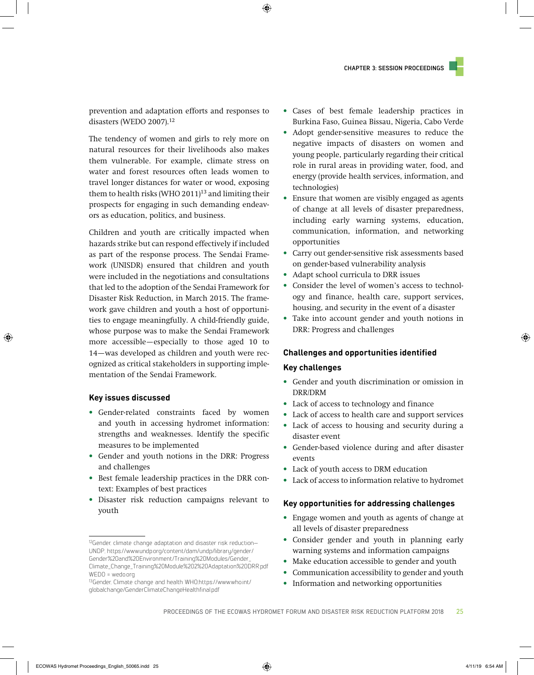prevention and adaptation efforts and responses to disasters (WEDO 2007).<sup>12</sup>

The tendency of women and girls to rely more on natural resources for their livelihoods also makes them vulnerable. For example, climate stress on water and forest resources often leads women to travel longer distances for water or wood, exposing them to health risks (WHO 2011) $13$  and limiting their prospects for engaging in such demanding endeavors as education, politics, and business.

Children and youth are critically impacted when hazards strike but can respond effectively if included as part of the response process. The Sendai Framework (UNISDR) ensured that children and youth were included in the negotiations and consultations that led to the adoption of the Sendai Framework for Disaster Risk Reduction, in March 2015. The framework gave children and youth a host of opportunities to engage meaningfully. A child-friendly guide, whose purpose was to make the Sendai Framework more accessible—especially to those aged 10 to 14—was developed as children and youth were recognized as critical stakeholders in supporting implementation of the Sendai Framework.

#### **Key issues discussed**

- Gender-related constraints faced by women and youth in accessing hydromet information: strengths and weaknesses. Identify the specific measures to be implemented
- Gender and youth notions in the DRR: Progress and challenges
- Best female leadership practices in the DRR context: Examples of best practices
- Disaster risk reduction campaigns relevant to youth
- Cases of best female leadership practices in Burkina Faso, Guinea Bissau, Nigeria, Cabo Verde
- Adopt gender-sensitive measures to reduce the negative impacts of disasters on women and young people, particularly regarding their critical role in rural areas in providing water, food, and energy (provide health services, information, and technologies)
- Ensure that women are visibly engaged as agents of change at all levels of disaster preparedness, including early warning systems, education, communication, information, and networking opportunities
- Carry out gender-sensitive risk assessments based on gender-based vulnerability analysis
- Adapt school curricula to DRR issues
- Consider the level of women's access to technology and finance, health care, support services, housing, and security in the event of a disaster
- Take into account gender and youth notions in DRR: Progress and challenges

#### **Challenges and opportunities identified**

### **Key challenges**

- Gender and youth discrimination or omission in DRR/DRM
- Lack of access to technology and finance
- Lack of access to health care and support services
- Lack of access to housing and security during a disaster event
- Gender-based violence during and after disaster events
- Lack of youth access to DRM education
- Lack of access to information relative to hydromet

#### **Key opportunities for addressing challenges**

- Engage women and youth as agents of change at all levels of disaster preparedness
- Consider gender and youth in planning early warning systems and information campaigns
- Make education accessible to gender and youth
- Communication accessibility to gender and youth
- Information and networking opportunities

<sup>12</sup>Gender, climate change adaptation and disaster risk reduction— UNDP, https://www.undp.org/content/dam/undp/library/gender/ Gender%20and%20Environment/Training%20Modules/Gender\_ Climate\_Change\_Training%20Module%202%20Adaptation%20DRR.pdf WEDO = wedo.org

<sup>13</sup>Gender, Climate change and health WHO;https://www.who.int/ globalchange/GenderClimateChangeHealthfinal.pdf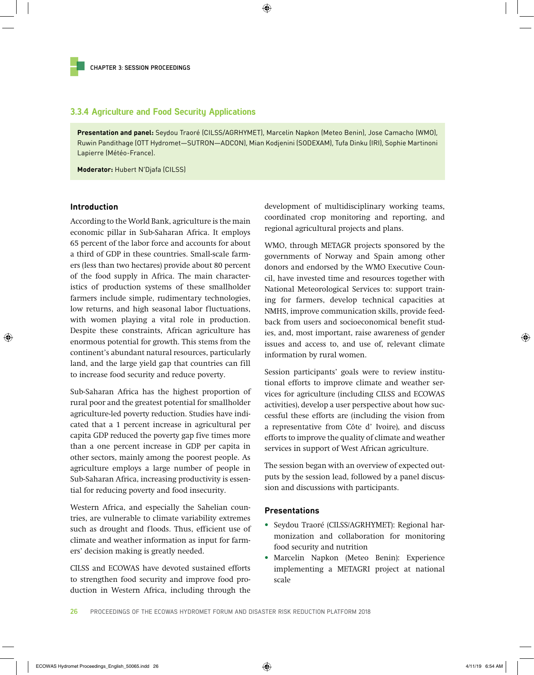#### <span id="page-40-0"></span>**3.3.4 Agriculture and Food Security Applications**

**Presentation and panel:** Seydou Traoré (CILSS/AGRHYMET), Marcelin Napkon (Meteo Benin), Jose Camacho (WMO), Ruwin Pandithage (OTT Hydromet—SUTRON—ADCON), Mian Kodjenini (SODEXAM), Tufa Dinku (IRI), Sophie Martinoni Lapierre (Météo-France).

**Moderator:** Hubert N'Djafa (CILSS)

#### **Introduction**

According to the World Bank, agriculture is the main economic pillar in Sub-Saharan Africa. It employs 65 percent of the labor force and accounts for about a third of GDP in these countries. Small-scale farmers (less than two hectares) provide about 80 percent of the food supply in Africa. The main characteristics of production systems of these smallholder farmers include simple, rudimentary technologies, low returns, and high seasonal labor fluctuations, with women playing a vital role in production. Despite these constraints, African agriculture has enormous potential for growth. This stems from the continent's abundant natural resources, particularly land, and the large yield gap that countries can fill to increase food security and reduce poverty.

Sub-Saharan Africa has the highest proportion of rural poor and the greatest potential for smallholder agriculture-led poverty reduction. Studies have indicated that a 1 percent increase in agricultural per capita GDP reduced the poverty gap five times more than a one percent increase in GDP per capita in other sectors, mainly among the poorest people. As agriculture employs a large number of people in Sub-Saharan Africa, increasing productivity is essential for reducing poverty and food insecurity.

Western Africa, and especially the Sahelian countries, are vulnerable to climate variability extremes such as drought and floods. Thus, efficient use of climate and weather information as input for farmers' decision making is greatly needed.

CILSS and ECOWAS have devoted sustained efforts to strengthen food security and improve food production in Western Africa, including through the development of multidisciplinary working teams, coordinated crop monitoring and reporting, and regional agricultural projects and plans.

WMO, through METAGR projects sponsored by the governments of Norway and Spain among other donors and endorsed by the WMO Executive Council, have invested time and resources together with National Meteorological Services to: support training for farmers, develop technical capacities at NMHS, improve communication skills, provide feedback from users and socioeconomical benefit studies, and, most important, raise awareness of gender issues and access to, and use of, relevant climate information by rural women.

Session participants' goals were to review institutional efforts to improve climate and weather services for agriculture (including CILSS and ECOWAS activities), develop a user perspective about how successful these efforts are (including the vision from a representative from Côte d' Ivoire), and discuss efforts to improve the quality of climate and weather services in support of West African agriculture.

The session began with an overview of expected outputs by the session lead, followed by a panel discussion and discussions with participants.

#### **Presentations**

- Seydou Traoré (CILSS/AGRHYMET): Regional harmonization and collaboration for monitoring food security and nutrition
- Marcelin Napkon (Meteo Benin): Experience implementing a METAGRI project at national scale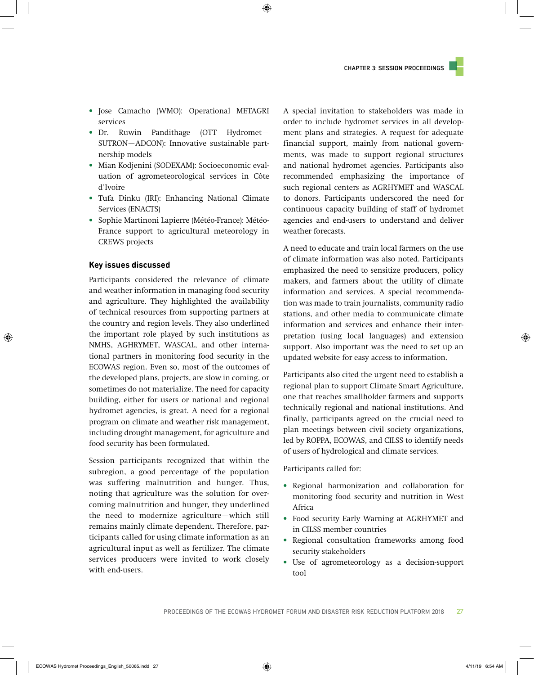- Jose Camacho (WMO): Operational METAGRI services
- Dr. Ruwin Pandithage (OTT Hydromet— SUTRON—ADCON): Innovative sustainable partnership models
- Mian Kodjenini (SODEXAM): Socioeconomic evaluation of agrometeorological services in Côte d'Ivoire
- Tufa Dinku (IRI): Enhancing National Climate Services (ENACTS)
- Sophie Martinoni Lapierre (Météo-France): Météo-France support to agricultural meteorology in CREWS projects

#### **Key issues discussed**

Participants considered the relevance of climate and weather information in managing food security and agriculture. They highlighted the availability of technical resources from supporting partners at the country and region levels. They also underlined the important role played by such institutions as NMHS, AGHRYMET, WASCAL, and other international partners in monitoring food security in the ECOWAS region. Even so, most of the outcomes of the developed plans, projects, are slow in coming, or sometimes do not materialize. The need for capacity building, either for users or national and regional hydromet agencies, is great. A need for a regional program on climate and weather risk management, including drought management, for agriculture and food security has been formulated.

Session participants recognized that within the subregion, a good percentage of the population was suffering malnutrition and hunger. Thus, noting that agriculture was the solution for overcoming malnutrition and hunger, they underlined the need to modernize agriculture—which still remains mainly climate dependent. Therefore, participants called for using climate information as an agricultural input as well as fertilizer. The climate services producers were invited to work closely with end-users.

A special invitation to stakeholders was made in order to include hydromet services in all development plans and strategies. A request for adequate financial support, mainly from national governments, was made to support regional structures and national hydromet agencies. Participants also recommended emphasizing the importance of such regional centers as AGRHYMET and WASCAL to donors. Participants underscored the need for continuous capacity building of staff of hydromet agencies and end-users to understand and deliver weather forecasts.

A need to educate and train local farmers on the use of climate information was also noted. Participants emphasized the need to sensitize producers, policy makers, and farmers about the utility of climate information and services. A special recommendation was made to train journalists, community radio stations, and other media to communicate climate information and services and enhance their interpretation (using local languages) and extension support. Also important was the need to set up an updated website for easy access to information.

Participants also cited the urgent need to establish a regional plan to support Climate Smart Agriculture, one that reaches smallholder farmers and supports technically regional and national institutions. And finally, participants agreed on the crucial need to plan meetings between civil society organizations, led by ROPPA, ECOWAS, and CILSS to identify needs of users of hydrological and climate services.

Participants called for:

- Regional harmonization and collaboration for monitoring food security and nutrition in West Africa
- Food security Early Warning at AGRHYMET and in CILSS member countries
- Regional consultation frameworks among food security stakeholders
- Use of agrometeorology as a decision-support tool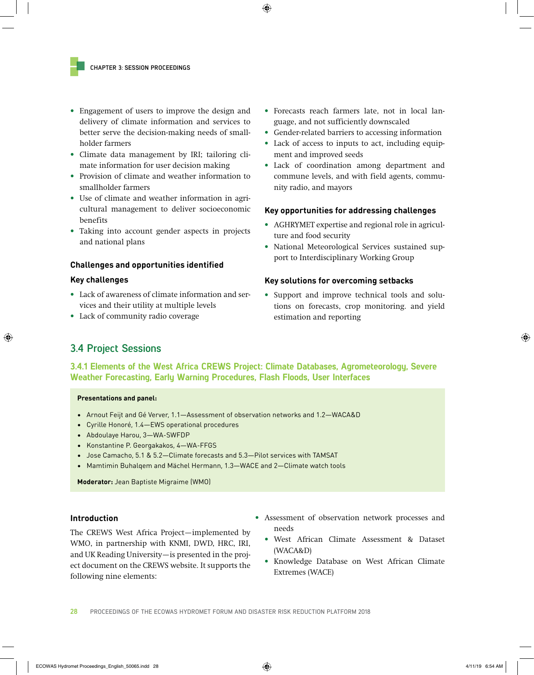- <span id="page-42-0"></span>• Engagement of users to improve the design and delivery of climate information and services to better serve the decision-making needs of smallholder farmers
- Climate data management by IRI; tailoring climate information for user decision making
- Provision of climate and weather information to smallholder farmers
- Use of climate and weather information in agricultural management to deliver socioeconomic benefits
- Taking into account gender aspects in projects and national plans

#### **Challenges and opportunities identified**

#### **Key challenges**

- Lack of awareness of climate information and services and their utility at multiple levels
- Lack of community radio coverage
- Forecasts reach farmers late, not in local language, and not sufficiently downscaled
- Gender-related barriers to accessing information
- Lack of access to inputs to act, including equipment and improved seeds
- Lack of coordination among department and commune levels, and with field agents, community radio, and mayors

#### **Key opportunities for addressing challenges**

- AGHRYMET expertise and regional role in agriculture and food security
- National Meteorological Services sustained support to Interdisciplinary Working Group

#### **Key solutions for overcoming setbacks**

• Support and improve technical tools and solutions on forecasts, crop monitoring. and yield estimation and reporting

# **3.4 Project Sessions**

**3.4.1 Elements of the West Africa CREWS Project: Climate Databases, Agrometeorology, Severe Weather Forecasting, Early Warning Procedures, Flash Floods, User Interfaces** 

#### **Presentations and panel:**

- Arnout Feijt and Gé Verver, [1.1](https://docs.google.com/document/d/1mSK4sPnBbKngVLEQorokVzSrsMNY0276kaNSHokTqbo/edit?usp=sharing)—Assessment of observation networks and [1.2—](https://docs.google.com/document/d/1J4lSWd1ythmCQNL04w79O0WS8qVMdMLXV4YSejkOW6o/edit?usp=sharing)WACA&D
- Cyrille Honoré, [1.4](https://docs.google.com/document/d/14XTr8Z8atQSJXz_ps8YhPsZmo9um5x7fHLA61yxdt3A/edit?usp=sharing)—EWS operational procedures
- Abdoulaye Harou, [3—](https://docs.google.com/document/d/1YeNzrH2hprH2A52yOd1Cwu7hqJFDbzOqeXzHhUq-LF8/edit?usp=sharing)WA-SWFDP
- Konstantine P. Georgakakos, [4](https://docs.google.com/document/d/1avkRqM4v5ATrlzs4d9QK34CJsb2MPa10PommxIWP6Qg/edit?usp=sharing)—WA-FFGS
- Jose Camacho, [5.1 & 5.2](https://docs.google.com/document/d/1hfQ98qkMqlQ2GoIiwtYlPDgixjeha38UDV-X2YEE-8w/edit?usp=sharing)—Climate forecasts and [5.3—](https://docs.google.com/document/d/15GiRRTEAiFvgT4bKtz4JNblGgFghHCtduFArYy4NI1w/edit?usp=sharing)Pilot services with TAMSAT
- Mamtimin Buhalqem and Mächel Hermann, [1.3](https://docs.google.com/document/d/1HLoL9h0qYh84T2XKxHTR_UAEh5HRn3og5O0kDzH50_s/edit?usp=sharing)—WACE and [2—](https://docs.google.com/document/d/16mclqfn-WlgMRCiLiQiVL5XLTf9XvD7ICilLLPewJCg/edit?usp=sharing)Climate watch tools

**Moderator:** Jean Baptiste Migraime (WMO)

#### **Introduction**

The [CREWS West Africa Project](https://ane4bf-datap1.s3-eu-west-1.amazonaws.com/wmocrews/s3fs-public/ckeditor/files/West_Africa_Region_Approved_at_SC_5.pdf?jiOzAZv2kBVvkXqZt1NHu_nJPWlMXa9F)—implemented by WMO, in partnership with KNMI, DWD, HRC, IRI, and UK Reading University—is presented in the project document on the CREWS website. It supports the following nine elements:

- Assessment of observation network processes and needs
	- West African Climate Assessment & Dataset (WACA&D)
	- Knowledge Database on West African Climate Extremes (WACE)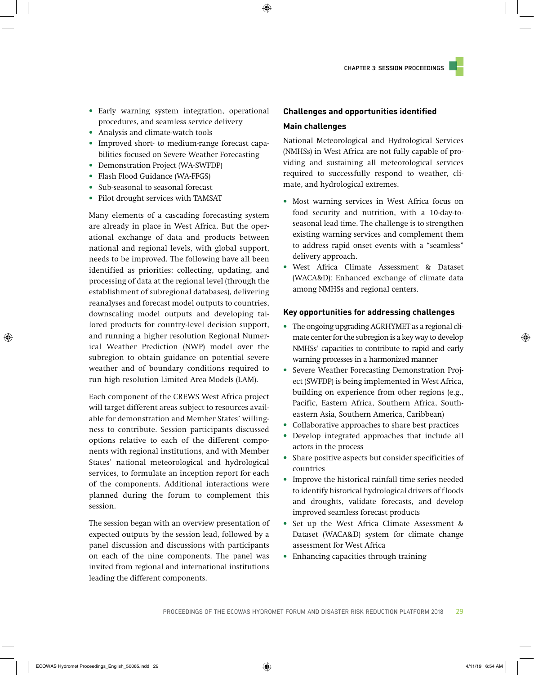- Early warning system integration, operational procedures, and seamless service delivery
- Analysis and climate-watch tools
- Improved short- to medium-range forecast capabilities focused on Severe Weather Forecasting
- Demonstration Project (WA-SWFDP)
- Flash Flood Guidance (WA-FFGS)
- Sub-seasonal to seasonal forecast
- Pilot drought services with TAMSAT

Many elements of a cascading forecasting system are already in place in West Africa. But the operational exchange of data and products between national and regional levels, with global support, needs to be improved. The following have all been identified as priorities: collecting, updating, and processing of data at the regional level (through the establishment of subregional databases), delivering reanalyses and forecast model outputs to countries, downscaling model outputs and developing tailored products for country-level decision support, and running a higher resolution Regional Numerical Weather Prediction (NWP) model over the subregion to obtain guidance on potential severe weather and of boundary conditions required to run high resolution Limited Area Models (LAM).

Each component of the CREWS West Africa project will target different areas subject to resources available for demonstration and Member States' willingness to contribute. Session participants discussed options relative to each of the different components with regional institutions, and with Member States' national meteorological and hydrological services, to formulate an inception report for each of the components. Additional interactions were planned during the forum to complement this session.

The session began with an overview presentation of expected outputs by the session lead, followed by a panel discussion and discussions with participants on each of the nine components. The panel was invited from regional and international institutions leading the different components.

#### **Challenges and opportunities identified**

#### **Main challenges**

National Meteorological and Hydrological Services (NMHSs) in West Africa are not fully capable of providing and sustaining all meteorological services required to successfully respond to weather, climate, and hydrological extremes.

- Most warning services in West Africa focus on food security and nutrition, with a 10-day-toseasonal lead time. The challenge is to strengthen existing warning services and complement them to address rapid onset events with a "seamless" delivery approach.
- West Africa Climate Assessment & Dataset (WACA&D): Enhanced exchange of climate data among NMHSs and regional centers.

#### **Key opportunities for addressing challenges**

- The ongoing upgrading AGRHYMET as a regional climate center for the subregion is a key way to develop NMHSs' capacities to contribute to rapid and early warning processes in a harmonized manner
- Severe Weather Forecasting Demonstration Project (SWFDP) is being implemented in West Africa, building on experience from other regions (e.g., Pacific, Eastern Africa, Southern Africa, Southeastern Asia, Southern America, Caribbean)
- Collaborative approaches to share best practices
- Develop integrated approaches that include all actors in the process
- Share positive aspects but consider specificities of countries
- Improve the historical rainfall time series needed to identify historical hydrological drivers of floods and droughts, validate forecasts, and develop improved seamless forecast products
- Set up the West Africa Climate Assessment & Dataset (WACA&D) system for climate change assessment for West Africa
- Enhancing capacities through training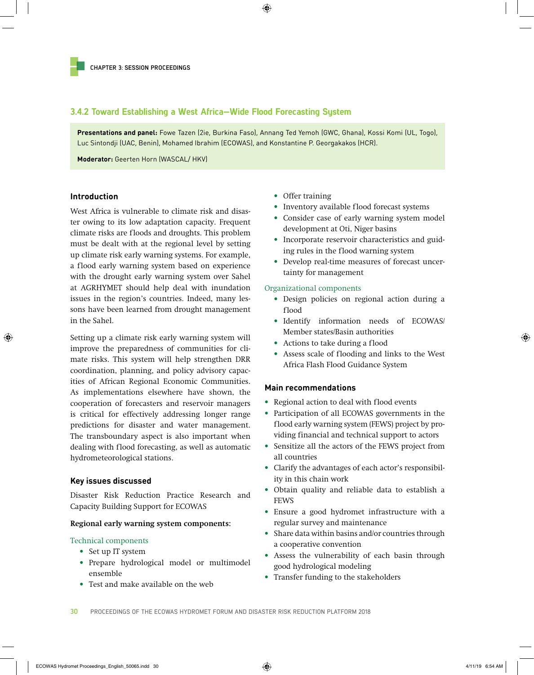#### <span id="page-44-0"></span>**3.4.2 Toward Establishing a West Africa–Wide Flood Forecasting System**

**Presentations and panel:** Fowe Tazen (2ie, Burkina Faso), Annang Ted Yemoh (GWC, Ghana), Kossi Komi (UL, Togo), Luc Sintondji (UAC, Benin), Mohamed Ibrahim (ECOWAS), and Konstantine P. Georgakakos (HCR).

**Moderator:** Geerten Horn (WASCAL/ HKV)

#### **Introduction**

West Africa is vulnerable to climate risk and disaster owing to its low adaptation capacity. Frequent climate risks are floods and droughts. This problem must be dealt with at the regional level by setting up climate risk early warning systems. For example, a flood early warning system based on experience with the drought early warning system over Sahel at AGRHYMET should help deal with inundation issues in the region's countries. Indeed, many lessons have been learned from drought management in the Sahel.

Setting up a climate risk early warning system will improve the preparedness of communities for climate risks. This system will help strengthen DRR coordination, planning, and policy advisory capacities of African Regional Economic Communities. As implementations elsewhere have shown, the cooperation of forecasters and reservoir managers is critical for effectively addressing longer range predictions for disaster and water management. The transboundary aspect is also important when dealing with flood forecasting, as well as automatic hydrometeorological stations.

#### **Key issues discussed**

Disaster Risk Reduction Practice Research and Capacity Building Support for ECOWAS

#### **Regional early warning system components:**

#### Technical components

- Set up IT system
- Prepare hydrological model or multimodel ensemble
- Test and make available on the web
- Offer training
- Inventory available flood forecast systems
- Consider case of early warning system model development at Oti, Niger basins
- Incorporate reservoir characteristics and guiding rules in the flood warning system
- Develop real-time measures of forecast uncertainty for management

#### Organizational components

- Design policies on regional action during a flood
- Identify information needs of ECOWAS/ Member states/Basin authorities
- Actions to take during a flood
- Assess scale of flooding and links to the West Africa Flash Flood Guidance System

#### **Main recommendations**

- Regional action to deal with flood events
- Participation of all ECOWAS governments in the flood early warning system (FEWS) project by providing financial and technical support to actors
- Sensitize all the actors of the FEWS project from all countries
- Clarify the advantages of each actor's responsibility in this chain work
- Obtain quality and reliable data to establish a **FEWS**
- Ensure a good hydromet infrastructure with a regular survey and maintenance
- Share data within basins and/or countries through a cooperative convention
- Assess the vulnerability of each basin through good hydrological modeling
- Transfer funding to the stakeholders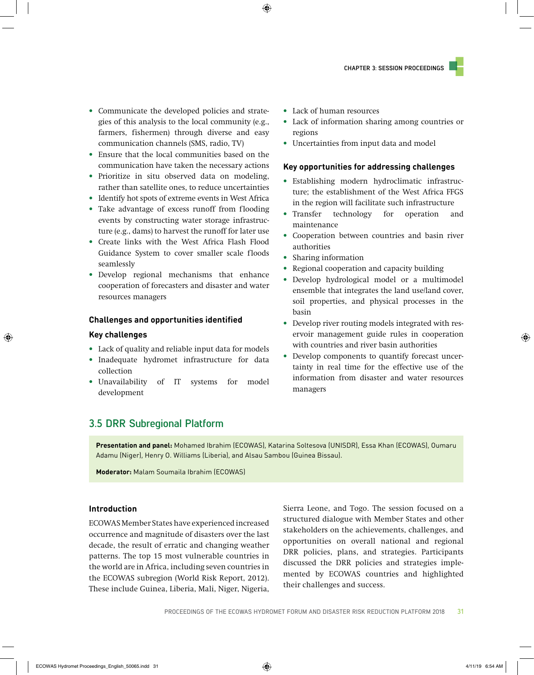- <span id="page-45-0"></span>• Communicate the developed policies and strategies of this analysis to the local community (e.g., farmers, fishermen) through diverse and easy communication channels (SMS, radio, TV)
- Ensure that the local communities based on the communication have taken the necessary actions
- Prioritize in situ observed data on modeling, rather than satellite ones, to reduce uncertainties
- Identify hot spots of extreme events in West Africa
- Take advantage of excess runoff from flooding events by constructing water storage infrastructure (e.g., dams) to harvest the runoff for later use
- Create links with the West Africa Flash Flood Guidance System to cover smaller scale floods seamlessly
- Develop regional mechanisms that enhance cooperation of forecasters and disaster and water resources managers

#### **Challenges and opportunities identified**

#### **Key challenges**

- Lack of quality and reliable input data for models
- Inadequate hydromet infrastructure for data collection
- Unavailability of IT systems for model development
- Lack of human resources
- Lack of information sharing among countries or regions
- Uncertainties from input data and model

#### **Key opportunities for addressing challenges**

- Establishing modern hydroclimatic infrastructure; the establishment of the West Africa FFGS in the region will facilitate such infrastructure
- Transfer technology for operation and maintenance
- Cooperation between countries and basin river authorities
- Sharing information
- Regional cooperation and capacity building
- Develop hydrological model or a multimodel ensemble that integrates the land use/land cover, soil properties, and physical processes in the basin
- Develop river routing models integrated with reservoir management guide rules in cooperation with countries and river basin authorities
- Develop components to quantify forecast uncertainty in real time for the effective use of the information from disaster and water resources managers

# **3.5 DRR Subregional Platform**

**Presentation and panel:** Mohamed Ibrahim (ECOWAS), Katarina Soltesova (UNISDR), Essa Khan (ECOWAS), Oumaru Adamu (Niger), Henry O. Williams (Liberia), and Alsau Sambou (Guinea Bissau).

**Moderator:** Malam Soumaila Ibrahim (ECOWAS)

#### **Introduction**

ECOWAS Member States have experienced increased occurrence and magnitude of disasters over the last decade, the result of erratic and changing weather patterns. The top 15 most vulnerable countries in the world are in Africa, including seven countries in the ECOWAS subregion (World Risk Report, 2012). These include Guinea, Liberia, Mali, Niger, Nigeria,

Sierra Leone, and Togo. The session focused on a structured dialogue with Member States and other stakeholders on the achievements, challenges, and opportunities on overall national and regional DRR policies, plans, and strategies. Participants discussed the DRR policies and strategies implemented by ECOWAS countries and highlighted their challenges and success.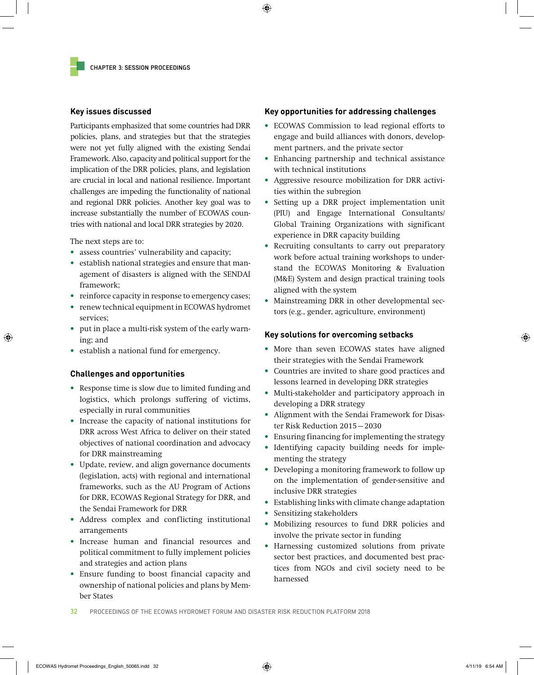#### **Key issues discussed**

Participants emphasized that some countries had DRR policies, plans, and strategies but that the strategies were not yet fully aligned with the existing Sendai Framework. Also, capacity and political support for the implication of the DRR policies, plans, and legislation are crucial in local and national resilience. Important challenges are impeding the functionality of national and regional DRR policies. Another key goal was to increase substantially the number of ECOWAS countries with national and local DRR strategies by 2020.

The next steps are to:

- assess countries' vulnerability and capacity;
- establish national strategies and ensure that management of disasters is aligned with the SENDAI framework;
- reinforce capacity in response to emergency cases;
- renew technical equipment in ECOWAS hydromet services;
- put in place a multi-risk system of the early warning; and
- establish a national fund for emergency.

#### **Challenges and opportunities**

- Response time is slow due to limited funding and logistics, which prolongs suffering of victims, especially in rural communities
- Increase the capacity of national institutions for DRR across West Africa to deliver on their stated objectives of national coordination and advocacy for DRR mainstreaming
- Update, review, and align governance documents (legislation, acts) with regional and international frameworks, such as the AU Program of Actions for DRR, ECOWAS Regional Strategy for DRR, and the Sendai Framework for DRR
- Address complex and conflicting institutional arrangements
- Increase human and financial resources and political commitment to fully implement policies and strategies and action plans
- Ensure funding to boost financial capacity and ownership of national policies and plans by Member States

#### **Key opportunities for addressing challenges**

- ECOWAS Commission to lead regional efforts to engage and build alliances with donors, development partners, and the private sector
- Enhancing partnership and technical assistance with technical institutions
- Aggressive resource mobilization for DRR activities within the subregion
- Setting up a DRR project implementation unit (PIU) and Engage International Consultants/ Global Training Organizations with significant experience in DRR capacity building
- Recruiting consultants to carry out preparatory work before actual training workshops to understand the ECOWAS Monitoring & Evaluation (M&E) System and design practical training tools aligned with the system
- Mainstreaming DRR in other developmental sectors (e.g., gender, agriculture, environment)

#### **Key solutions for overcoming setbacks**

- More than seven ECOWAS states have aligned their strategies with the Sendai Framework
- Countries are invited to share good practices and lessons learned in developing DRR strategies
- Multi-stakeholder and participatory approach in developing a DRR strategy
- Alignment with the Sendai Framework for Disaster Risk Reduction 2015–2030
- Ensuring financing for implementing the strategy
- Identifying capacity building needs for implementing the strategy
- Developing a monitoring framework to follow up on the implementation of gender-sensitive and inclusive DRR strategies
- Establishing links with climate change adaptation
- Sensitizing stakeholders
- Mobilizing resources to fund DRR policies and involve the private sector in funding
- Harnessing customized solutions from private sector best practices, and documented best practices from NGOs and civil society need to be harnessed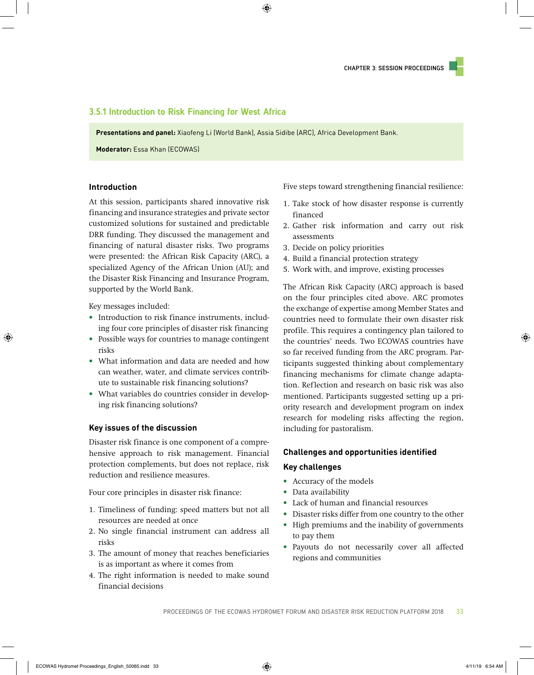#### <span id="page-47-0"></span>**3.5.1 Introduction to Risk Financing for West Africa**

**Presentations and panel:** Xiaofeng Li (World Bank), Assia Sidibe (ARC), Africa Development Bank.

**Moderator:** Essa Khan (ECOWAS)

#### **Introduction**

At this session, participants shared innovative risk financing and insurance strategies and private sector customized solutions for sustained and predictable DRR funding. They discussed the management and financing of natural disaster risks. Two programs were presented: the African Risk Capacity (ARC), a specialized Agency of the African Union (AU); and the Disaster Risk Financing and Insurance Program, supported by the World Bank.

Key messages included:

- Introduction to risk finance instruments, including four core principles of disaster risk financing
- Possible ways for countries to manage contingent risks
- What information and data are needed and how can weather, water, and climate services contribute to sustainable risk financing solutions?
- What variables do countries consider in developing risk financing solutions?

#### **Key issues of the discussion**

Disaster risk finance is one component of a comprehensive approach to risk management. Financial protection complements, but does not replace, risk reduction and resilience measures.

Four core principles in disaster risk finance:

- 1. Timeliness of funding: speed matters but not all resources are needed at once
- 2. No single financial instrument can address all risks
- 3. The amount of money that reaches beneficiaries is as important as where it comes from
- 4. The right information is needed to make sound financial decisions

Five steps toward strengthening financial resilience:

- 1. Take stock of how disaster response is currently financed
- 2. Gather risk information and carry out risk assessments
- 3. Decide on policy priorities
- 4. Build a financial protection strategy
- 5. Work with, and improve, existing processes

The African Risk Capacity (ARC) approach is based on the four principles cited above. ARC promotes the exchange of expertise among Member States and countries need to formulate their own disaster risk profile. This requires a contingency plan tailored to the countries' needs. Two ECOWAS countries have so far received funding from the ARC program. Participants suggested thinking about complementary financing mechanisms for climate change adaptation. Reflection and research on basic risk was also mentioned. Participants suggested setting up a priority research and development program on index research for modeling risks affecting the region, including for pastoralism.

#### **Challenges and opportunities identified**

#### **Key challenges**

- Accuracy of the models
- Data availability
- Lack of human and financial resources
- Disaster risks differ from one country to the other
- High premiums and the inability of governments to pay them
- Payouts do not necessarily cover all affected regions and communities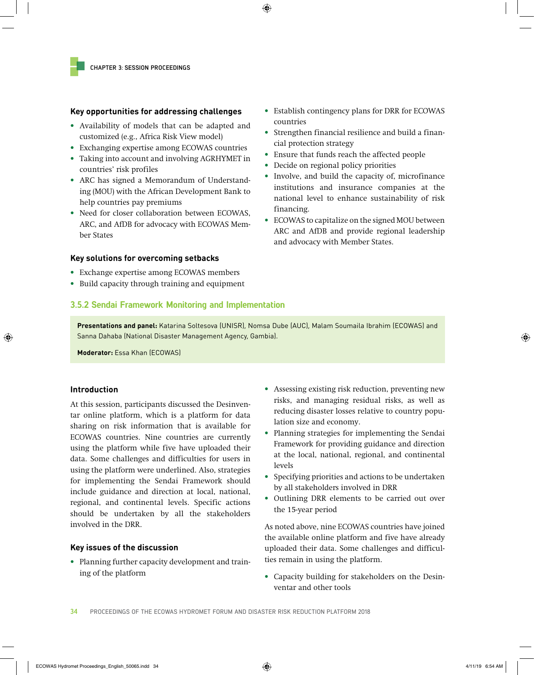#### <span id="page-48-0"></span>**Key opportunities for addressing challenges**

- Availability of models that can be adapted and customized (e.g., Africa Risk View model)
- Exchanging expertise among ECOWAS countries
- Taking into account and involving AGRHYMET in countries' risk profiles
- ARC has signed a Memorandum of Understanding (MOU) with the African Development Bank to help countries pay premiums
- Need for closer collaboration between ECOWAS, ARC, and AfDB for advocacy with ECOWAS Member States

#### **Key solutions for overcoming setbacks**

- Exchange expertise among ECOWAS members
- Build capacity through training and equipment

# **3.5.2 Sendai Framework Monitoring and Implementation**

**Presentations and panel:** Katarina Soltesova (UNISR), Nomsa Dube (AUC), Malam Soumaila Ibrahim (ECOWAS) and Sanna Dahaba (National Disaster Management Agency, Gambia).

**Moderator:** Essa Khan (ECOWAS)

#### **Introduction**

At this session, participants discussed the Desinventar online platform, which is a platform for data sharing on risk information that is available for ECOWAS countries. Nine countries are currently using the platform while five have uploaded their data. Some challenges and difficulties for users in using the platform were underlined. Also, strategies for implementing the Sendai Framework should include guidance and direction at local, national, regional, and continental levels. Specific actions should be undertaken by all the stakeholders involved in the DRR.

#### **Key issues of the discussion**

• Planning further capacity development and training of the platform

- Establish contingency plans for DRR for ECOWAS countries
- Strengthen financial resilience and build a financial protection strategy
- Ensure that funds reach the affected people
- Decide on regional policy priorities
- Involve, and build the capacity of, microfinance institutions and insurance companies at the national level to enhance sustainability of risk financing.
- ECOWAS to capitalize on the signed MOU between ARC and AfDB and provide regional leadership and advocacy with Member States.

- Assessing existing risk reduction, preventing new risks, and managing residual risks, as well as reducing disaster losses relative to country population size and economy.
- Planning strategies for implementing the Sendai Framework for providing guidance and direction at the local, national, regional, and continental levels
- Specifying priorities and actions to be undertaken by all stakeholders involved in DRR
- Outlining DRR elements to be carried out over the 15-year period

As noted above, nine ECOWAS countries have joined the available online platform and five have already uploaded their data. Some challenges and difficulties remain in using the platform.

• Capacity building for stakeholders on the Desinventar and other tools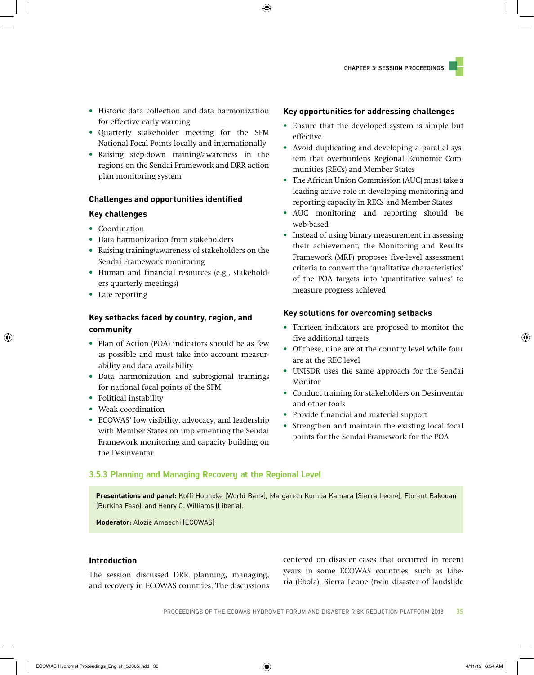- <span id="page-49-0"></span>• Historic data collection and data harmonization for effective early warning
- Quarterly stakeholder meeting for the SFM National Focal Points locally and internationally
- Raising step-down training/awareness in the regions on the Sendai Framework and DRR action plan monitoring system

#### **Challenges and opportunities identified**

#### **Key challenges**

- Coordination
- Data harmonization from stakeholders
- Raising training/awareness of stakeholders on the Sendai Framework monitoring
- Human and financial resources (e.g., stakeholders quarterly meetings)
- Late reporting

# **Key setbacks faced by country, region, and community**

- Plan of Action (POA) indicators should be as few as possible and must take into account measurability and data availability
- Data harmonization and subregional trainings for national focal points of the SFM
- Political instability
- Weak coordination
- ECOWAS' low visibility, advocacy, and leadership with Member States on implementing the Sendai Framework monitoring and capacity building on the Desinventar

#### **Key opportunities for addressing challenges**

- Ensure that the developed system is simple but effective
- Avoid duplicating and developing a parallel system that overburdens Regional Economic Communities (RECs) and Member States
- The African Union Commission (AUC) must take a leading active role in developing monitoring and reporting capacity in RECs and Member States
- AUC monitoring and reporting should be web-based
- Instead of using binary measurement in assessing their achievement, the Monitoring and Results Framework (MRF) proposes five-level assessment criteria to convert the 'qualitative characteristics' of the POA targets into 'quantitative values' to measure progress achieved

### **Key solutions for overcoming setbacks**

- Thirteen indicators are proposed to monitor the five additional targets
- Of these, nine are at the country level while four are at the REC level
- UNISDR uses the same approach for the Sendai Monitor
- Conduct training for stakeholders on Desinventar and other tools
- Provide financial and material support
- Strengthen and maintain the existing local focal points for the Sendai Framework for the POA

# **3.5.3 Planning and Managing Recovery at the Regional Level**

**Presentations and panel:** Koffi Hounpke (World Bank), Margareth Kumba Kamara (Sierra Leone), Florent Bakouan (Burkina Faso), and Henry O. Williams (Liberia).

**Moderator:** Alozie Amaechi (ECOWAS)

#### **Introduction**

The session discussed DRR planning, managing, and recovery in ECOWAS countries. The discussions centered on disaster cases that occurred in recent years in some ECOWAS countries, such as Liberia (Ebola), Sierra Leone (twin disaster of landslide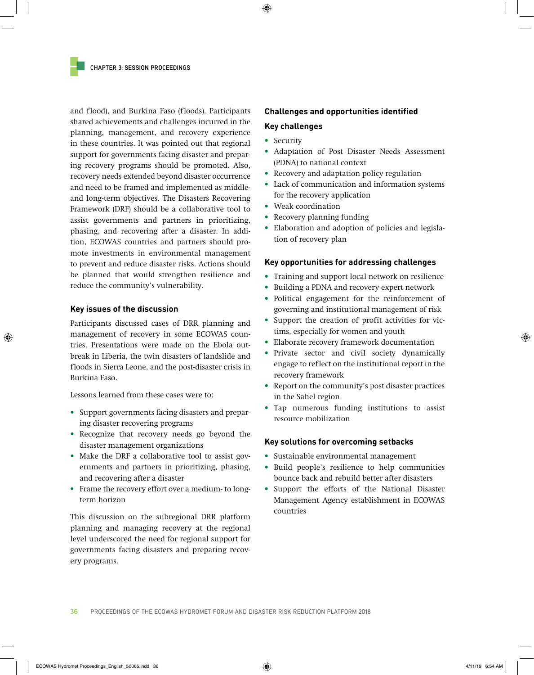and flood), and Burkina Faso (floods). Participants shared achievements and challenges incurred in the planning, management, and recovery experience in these countries. It was pointed out that regional support for governments facing disaster and preparing recovery programs should be promoted. Also, recovery needs extended beyond disaster occurrence and need to be framed and implemented as middleand long-term objectives. The Disasters Recovering Framework (DRF) should be a collaborative tool to assist governments and partners in prioritizing, phasing, and recovering after a disaster. In addition, ECOWAS countries and partners should promote investments in environmental management to prevent and reduce disaster risks. Actions should be planned that would strengthen resilience and reduce the community's vulnerability.

#### **Key issues of the discussion**

Participants discussed cases of DRR planning and management of recovery in some ECOWAS countries. Presentations were made on the Ebola outbreak in Liberia, the twin disasters of landslide and floods in Sierra Leone, and the post-disaster crisis in Burkina Faso.

Lessons learned from these cases were to:

- Support governments facing disasters and preparing disaster recovering programs
- Recognize that recovery needs go beyond the disaster management organizations
- Make the DRF a collaborative tool to assist governments and partners in prioritizing, phasing, and recovering after a disaster
- Frame the recovery effort over a medium- to longterm horizon

This discussion on the subregional DRR platform planning and managing recovery at the regional level underscored the need for regional support for governments facing disasters and preparing recovery programs.

#### **Challenges and opportunities identified**

#### **Key challenges**

- Security
- Adaptation of Post Disaster Needs Assessment (PDNA) to national context
- Recovery and adaptation policy regulation
- Lack of communication and information systems for the recovery application
- Weak coordination
- Recovery planning funding
- Elaboration and adoption of policies and legislation of recovery plan

#### **Key opportunities for addressing challenges**

- Training and support local network on resilience
- Building a PDNA and recovery expert network
- Political engagement for the reinforcement of governing and institutional management of risk
- Support the creation of profit activities for victims, especially for women and youth
- Elaborate recovery framework documentation
- Private sector and civil society dynamically engage to reflect on the institutional report in the recovery framework
- Report on the community's post disaster practices in the Sahel region
- Tap numerous funding institutions to assist resource mobilization

#### **Key solutions for overcoming setbacks**

- Sustainable environmental management
- Build people's resilience to help communities bounce back and rebuild better after disasters
- Support the efforts of the National Disaster Management Agency establishment in ECOWAS countries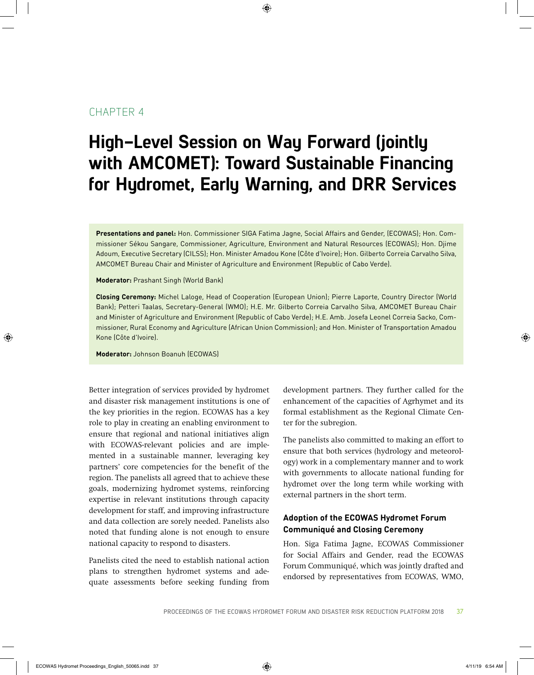# <span id="page-51-0"></span>CHAPTER 4

# **High-Level Session on Way Forward (jointly with AMCOMET): Toward Sustainable Financing for Hydromet, Early Warning, and DRR Services**

**Presentations and panel:** Hon. Commissioner SIGA Fatima Jagne, Social Affairs and Gender, (ECOWAS); Hon. Commissioner Sékou Sangare, Commissioner, Agriculture, Environment and Natural Resources (ECOWAS); Hon. Djime Adoum, Executive Secretary (CILSS); Hon. Minister Amadou Kone (Côte d'Ivoire); Hon. Gilberto Correia Carvalho Silva, AMCOMET Bureau Chair and Minister of Agriculture and Environment (Republic of Cabo Verde).

**Moderator:** Prashant Singh (World Bank)

**Closing Ceremony:** Michel Laloge, Head of Cooperation (European Union); Pierre Laporte, Country Director (World Bank); Petteri Taalas, Secretary-General (WMO); H.E. Mr. Gilberto Correia Carvalho Silva, AMCOMET Bureau Chair and Minister of Agriculture and Environment (Republic of Cabo Verde); H.E. Amb. Josefa Leonel Correia Sacko, Commissioner, Rural Economy and Agriculture (African Union Commission); and Hon. Minister of Transportation Amadou Kone (Côte d'Ivoire).

**Moderator:** Johnson Boanuh (ECOWAS)

Better integration of services provided by hydromet and disaster risk management institutions is one of the key priorities in the region. ECOWAS has a key role to play in creating an enabling environment to ensure that regional and national initiatives align with ECOWAS-relevant policies and are implemented in a sustainable manner, leveraging key partners' core competencies for the benefit of the region. The panelists all agreed that to achieve these goals, modernizing hydromet systems, reinforcing expertise in relevant institutions through capacity development for staff, and improving infrastructure and data collection are sorely needed. Panelists also noted that funding alone is not enough to ensure national capacity to respond to disasters.

Panelists cited the need to establish national action plans to strengthen hydromet systems and adequate assessments before seeking funding from development partners. They further called for the enhancement of the capacities of Agrhymet and its formal establishment as the Regional Climate Center for the subregion.

The panelists also committed to making an effort to ensure that both services (hydrology and meteorology) work in a complementary manner and to work with governments to allocate national funding for hydromet over the long term while working with external partners in the short term.

# **Adoption of the ECOWAS Hydromet Forum Communiqué and Closing Ceremony**

Hon. Siga Fatima Jagne, ECOWAS Commissioner for Social Affairs and Gender, read the ECOWAS Forum Communiqué, which was jointly drafted and endorsed by representatives from ECOWAS, WMO,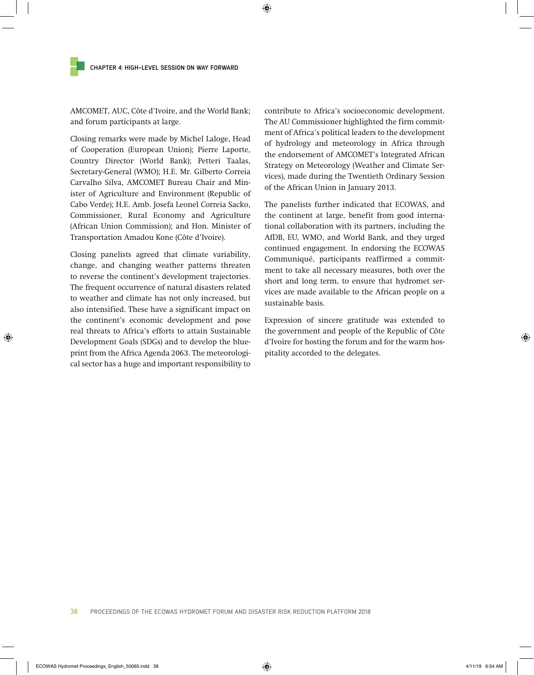AMCOMET, AUC, Côte d'Ivoire, and the World Bank; and forum participants at large.

Closing remarks were made by Michel Laloge, Head of Cooperation (European Union); Pierre Laporte, Country Director (World Bank); Petteri Taalas, Secretary-General (WMO); H.E. Mr. Gilberto Correia Carvalho Silva, AMCOMET Bureau Chair and Minister of Agriculture and Environment (Republic of Cabo Verde); H.E. Amb. Josefa Leonel Correia Sacko, Commissioner, Rural Economy and Agriculture (African Union Commission); and Hon. Minister of Transportation Amadou Kone (Côte d'Ivoire).

Closing panelists agreed that climate variability, change, and changing weather patterns threaten to reverse the continent's development trajectories. The frequent occurrence of natural disasters related to weather and climate has not only increased, but also intensified. These have a significant impact on the continent's economic development and pose real threats to Africa's efforts to attain Sustainable Development Goals (SDGs) and to develop the blueprint from the Africa Agenda 2063. The meteorological sector has a huge and important responsibility to

contribute to Africa's socioeconomic development. The AU Commissioner highlighted the firm commitment of Africa's political leaders to the development of hydrology and meteorology in Africa through the endorsement of AMCOMET's Integrated African Strategy on Meteorology (Weather and Climate Services), made during the Twentieth Ordinary Session of the African Union in January 2013.

The panelists further indicated that ECOWAS, and the continent at large, benefit from good international collaboration with its partners, including the AfDB, EU, WMO, and World Bank, and they urged continued engagement. In endorsing the ECOWAS Communiqué, participants reaffirmed a commitment to take all necessary measures, both over the short and long term, to ensure that hydromet services are made available to the African people on a sustainable basis.

Expression of sincere gratitude was extended to the government and people of the Republic of Côte d'Ivoire for hosting the forum and for the warm hospitality accorded to the delegates.